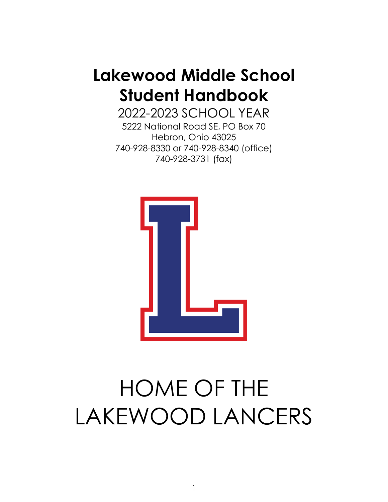# **Lakewood Middle School Student Handbook**

2022-2023 SCHOOL YEAR

5222 National Road SE, PO Box 70 Hebron, Ohio 43025 740-928-8330 or 740-928-8340 (office) 740-928-3731 (fax)



# HOME OF THE LAKEWOOD LANCERS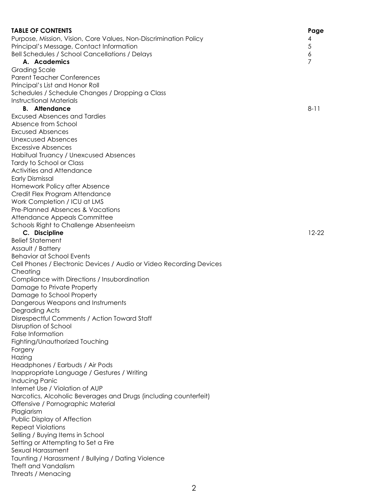| <b>TABLE OF CONTENTS</b>                                                                              | Page      |
|-------------------------------------------------------------------------------------------------------|-----------|
| Purpose, Mission, Vision, Core Values, Non-Discrimination Policy                                      | 4         |
| Principal's Message, Contact Information                                                              | 5         |
| <b>Bell Schedules / School Cancellations / Delays</b>                                                 | 6         |
| A. Academics                                                                                          | 7         |
| <b>Grading Scale</b>                                                                                  |           |
| <b>Parent Teacher Conferences</b>                                                                     |           |
| Principal's List and Honor Roll                                                                       |           |
| Schedules / Schedule Changes / Dropping a Class                                                       |           |
| <b>Instructional Materials</b>                                                                        |           |
| <b>B.</b> Attendance                                                                                  | $8 - 11$  |
| <b>Excused Absences and Tardies</b>                                                                   |           |
| Absence from School                                                                                   |           |
| <b>Excused Absences</b>                                                                               |           |
| <b>Unexcused Absences</b>                                                                             |           |
| <b>Excessive Absences</b>                                                                             |           |
| Habitual Truancy / Unexcused Absences<br>Tardy to School or Class                                     |           |
| Activities and Attendance                                                                             |           |
| <b>Early Dismissal</b>                                                                                |           |
| Homework Policy after Absence                                                                         |           |
| Credit Flex Program Attendance                                                                        |           |
| Work Completion / ICU at LMS                                                                          |           |
| Pre-Planned Absences & Vacations                                                                      |           |
| Attendance Appeals Committee                                                                          |           |
| Schools Right to Challenge Absenteeism                                                                |           |
| C. Discipline                                                                                         | $12 - 22$ |
| <b>Belief Statement</b>                                                                               |           |
| Assault / Battery                                                                                     |           |
| <b>Behavior at School Events</b>                                                                      |           |
| Cell Phones / Electronic Devices / Audio or Video Recording Devices                                   |           |
| Cheating                                                                                              |           |
| Compliance with Directions / Insubordination                                                          |           |
| Damage to Private Property                                                                            |           |
| Damage to School Property                                                                             |           |
| Dangerous Weapons and Instruments                                                                     |           |
| Degrading Acts                                                                                        |           |
| Disrespectful Comments / Action Toward Staff                                                          |           |
| Disruption of School                                                                                  |           |
| <b>False Information</b>                                                                              |           |
| Fighting/Unauthorized Touching                                                                        |           |
| Forgery                                                                                               |           |
| Hazing                                                                                                |           |
| Headphones / Earbuds / Air Pods                                                                       |           |
| Inappropriate Language / Gestures / Writing                                                           |           |
| Inducing Panic                                                                                        |           |
| Internet Use / Violation of AUP                                                                       |           |
| Narcotics, Alcoholic Beverages and Drugs (including counterfeit)<br>Offensive / Pornographic Material |           |
| Plagiarism                                                                                            |           |
| Public Display of Affection                                                                           |           |
| <b>Repeat Violations</b>                                                                              |           |
| Selling / Buying Items in School                                                                      |           |
| Setting or Attempting to Set a Fire                                                                   |           |
| Sexual Harassment                                                                                     |           |
| Taunting / Harassment / Bullying / Dating Violence                                                    |           |
| Theft and Vandalism                                                                                   |           |
| Threats / Menacing                                                                                    |           |
|                                                                                                       |           |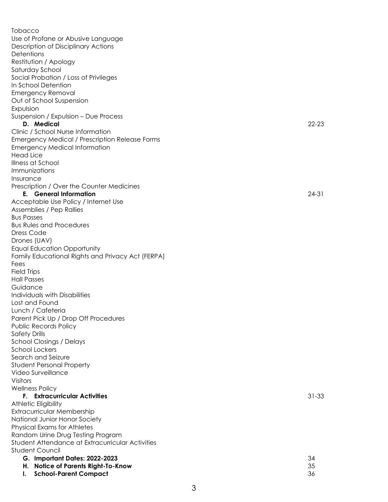3 **Tobacco** Use of Profane or Abusive Language Description of Disciplinary Actions **Detentions** Restitution / Apology Saturday School Social Probation / Loss of Privileges In School Detention Emergency Removal Out of School Suspension Expulsion Suspension / Expulsion – Due Process **D. Medical** Clinic / School Nurse Information Emergency Medical / Prescription Release Forms Emergency Medical Information Head Lice Illness at School **Immunizations** Insurance Prescription / Over the Counter Medicines **E. General Information** Acceptable Use Policy / Internet Use Assemblies / Pep Rallies Bus Passes Bus Rules and Procedures Dress Code Drones (UAV) Equal Education Opportunity Family Educational Rights and Privacy Act (FERPA) Fees Field Trips Hall Passes **Guidance** Individuals with Disabilities Lost and Found Lunch / Cafeteria Parent Pick Up / Drop Off Procedures Public Records Policy Safety Drills School Closings / Delays School Lockers Search and Seizure Student Personal Property Video Surveillance Visitors Wellness Policy **F. Extracurricular Activities** Athletic Eligibility Extracurricular Membership National Junior Honor Society Physical Exams for Athletes Random Urine Drug Testing Program Student Attendance at Extracurricular Activities Student Council **G. Important Dates: 202 2 -202 3** 34 **H. Notice of Parents Right -To -Know** 35 **I. School -Parent Compact** 36

2 2 -23

2 4 - 3 1

3 1 - 3 3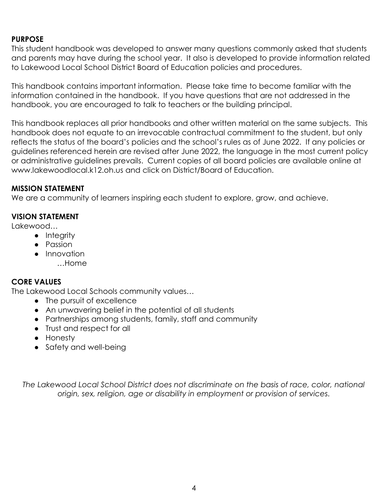# **PURPOSE**

This student handbook was developed to answer many questions commonly asked that students and parents may have during the school year. It also is developed to provide information related to Lakewood Local School District Board of Education policies and procedures.

This handbook contains important information. Please take time to become familiar with the information contained in the handbook. If you have questions that are not addressed in the handbook, you are encouraged to talk to teachers or the building principal.

This handbook replaces all prior handbooks and other written material on the same subjects. This handbook does not equate to an irrevocable contractual commitment to the student, but only reflects the status of the board's policies and the school's rules as of June 2022. If any policies or guidelines referenced herein are revised after June 2022, the language in the most current policy or administrative guidelines prevails. Current copies of all board policies are available online at [www.lakewoodlocal.k12.oh.us](http://www.lakewoodlocal.k12.oh.us/) and click on District/Board of Education.

# **MISSION STATEMENT**

We are a community of learners inspiring each student to explore, grow, and achieve.

# **VISION STATEMENT**

Lakewood…

- Integrity
- Passion
- Innovation
	- …Home

# **CORE VALUES**

The Lakewood Local Schools community values…

- The pursuit of excellence
- An unwavering belief in the potential of all students
- Partnerships among students, family, staff and community
- Trust and respect for all
- Honesty
- Safety and well-being

*The Lakewood Local School District does not discriminate on the basis of race, color, national origin, sex, religion, age or disability in employment or provision of services.*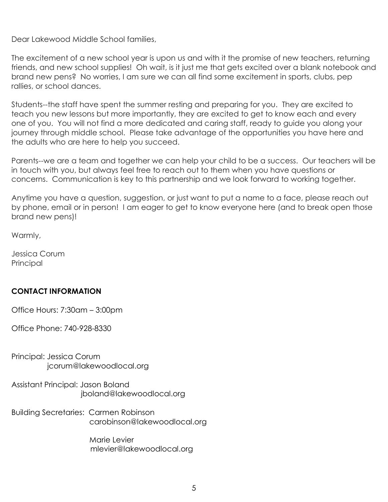Dear Lakewood Middle School families,

The excitement of a new school year is upon us and with it the promise of new teachers, returning friends, and new school supplies! Oh wait, is it just me that gets excited over a blank notebook and brand new pens? No worries, I am sure we can all find some excitement in sports, clubs, pep rallies, or school dances.

Students--the staff have spent the summer resting and preparing for you. They are excited to teach you new lessons but more importantly, they are excited to get to know each and every one of you. You will not find a more dedicated and caring staff, ready to guide you along your journey through middle school. Please take advantage of the opportunities you have here and the adults who are here to help you succeed.

Parents--we are a team and together we can help your child to be a success. Our teachers will be in touch with you, but always feel free to reach out to them when you have questions or concerns. Communication is key to this partnership and we look forward to working together.

Anytime you have a question, suggestion, or just want to put a name to a face, please reach out by phone, email or in person! I am eager to get to know everyone here (and to break open those brand new pens)!

Warmly,

Jessica Corum Principal

# **CONTACT INFORMATION**

Office Hours: 7:30am – 3:00pm

Office Phone: 740-928-8330

Principal: Jessica Corum jcorum@lakewoodlocal.org

Assistant Principal: Jason Boland jboland@lakewoodlocal.org

Building Secretaries: Carmen Robinson [carobinson@lakewoodlocal.org](mailto:carobinson@lakewoodlocal.org)

> Marie Levier [mlevier@lakewoodlocal.org](mailto:mlevier@lakewoodlocal.org)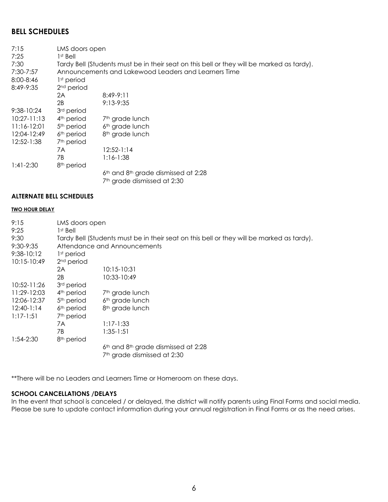# **BELL SCHEDULES**

| 7:15            | LMS doors open         |                                                                                           |
|-----------------|------------------------|-------------------------------------------------------------------------------------------|
| 7:25            | 1st Bell.              |                                                                                           |
| 7:30            |                        | Tardy Bell (Students must be in their seat on this bell or they will be marked as tardy). |
| 7:30-7:57       |                        | Announcements and Lakewood Leaders and Learners Time                                      |
| 8:00-8:46       | 1 <sup>st</sup> period |                                                                                           |
| 8:49-9:35       | 2 <sup>nd</sup> period |                                                                                           |
|                 | 2A                     | $8:49-9:11$                                                                               |
|                 | 2B                     | $9:13-9:35$                                                                               |
| 9:38-10:24      | 3 <sup>rd</sup> period |                                                                                           |
| $10:27 - 11:13$ | 4 <sup>th</sup> period | 7 <sup>th</sup> grade lunch                                                               |
| 11:16-12:01     | 5 <sup>th</sup> period | 6 <sup>th</sup> grade lunch                                                               |
| 12:04-12:49     | 6 <sup>th</sup> period | 8 <sup>th</sup> grade lunch                                                               |
| 12:52-1:38      | 7 <sup>th</sup> period |                                                                                           |
|                 | 7A                     | $12:52-1:14$                                                                              |
|                 | 7B                     | $1:16-1:38$                                                                               |
| $1:41-2:30$     | 8 <sup>th</sup> period |                                                                                           |
|                 |                        | 6 <sup>th</sup> and 8 <sup>th</sup> grade dismissed at 2:28                               |
|                 |                        | 7 <sup>th</sup> grade dismissed at 2:30                                                   |

#### **ALTERNATE BELL SCHEDULES**

#### **TWO HOUR DELAY**

| 9:15         | LMS doors open         |                                                                                           |
|--------------|------------------------|-------------------------------------------------------------------------------------------|
| 9:25         | 1st Bell.              |                                                                                           |
| 9:30         |                        | Tardy Bell (Students must be in their seat on this bell or they will be marked as tardy). |
| 9:30-9:35    |                        | Attendance and Announcements                                                              |
| 9:38-10:12   | 1 <sup>st</sup> period |                                                                                           |
| 10:15-10:49  | 2 <sup>nd</sup> period |                                                                                           |
|              | 2Α                     | 10:15-10:31                                                                               |
|              | 2B                     | 10:33-10:49                                                                               |
| 10:52-11:26  | 3 <sup>rd</sup> period |                                                                                           |
| 11:29-12:03  | 4 <sup>th</sup> period | 7 <sup>th</sup> grade lunch                                                               |
| 12:06-12:37  | 5 <sup>th</sup> period | 6 <sup>th</sup> grade lunch                                                               |
| $12:40-1:14$ | 6 <sup>th</sup> period | 8 <sup>th</sup> grade lunch                                                               |
| $1:17-1:51$  | 7 <sup>th</sup> period |                                                                                           |
|              | 7A                     | $1:17-1:33$                                                                               |
|              | 7B                     | $1:35-1:51$                                                                               |
| $1:54-2:30$  | 8 <sup>th</sup> period |                                                                                           |
|              |                        | 6 <sup>th</sup> and 8 <sup>th</sup> grade dismissed at 2:28                               |
|              |                        | 7 <sup>th</sup> grade dismissed at 2:30                                                   |

\*\*There will be no Leaders and Learners Time or Homeroom on these days.

#### **SCHOOL CANCELLATIONS /DELAYS**

In the event that school is canceled / or delayed, the district will notify parents using Final Forms and social media. Please be sure to update contact information during your annual registration in Final Forms or as the need arises.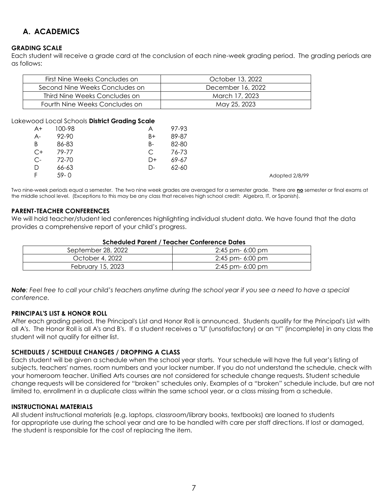# **A. ACADEMICS**

#### **GRADING SCALE**

Each student will receive a grade card at the conclusion of each nine-week grading period. The grading periods are as follows:

| First Nine Weeks Concludes on  | October 13, 2022  |
|--------------------------------|-------------------|
| Second Nine Weeks Concludes on | December 16, 2022 |
| Third Nine Weeks Concludes on  | March 17, 2023    |
| Fourth Nine Weeks Concludes on | May 25, 2023      |

#### Lakewood Local Schools **District Grading Scale**

| A+ | 100-98   | Α  | 97-93     |                |  |
|----|----------|----|-----------|----------------|--|
| A- | 92-90    | B+ | 89-87     |                |  |
| B  | 86-83    | B- | 82-80     |                |  |
| C+ | 79-77    | C  | 76-73     |                |  |
| C- | 72-70    | D+ | 69-67     |                |  |
| D  | 66-63    | D- | $62 - 60$ |                |  |
| F  | $59 - 0$ |    |           | Adopted 2/8/99 |  |
|    |          |    |           |                |  |

Two nine-week periods equal a semester. The two nine week grades are averaged for a semester grade. There are **no** semester or final exams at the middle school level. (Exceptions to this may be any class that receives high school credit: Algebra, IT, or Spanish).

#### **PARENT-TEACHER CONFERENCES**

We will hold teacher/student led conferences highlighting individual student data. We have found that the data provides a comprehensive report of your child's progress.

#### **Scheduled Parent / Teacher Conference Dates**

| 2:45 pm- 6:00 pm   |
|--------------------|
| 2:45 pm- 6:00 pm   |
| $2:45$ pm- 6:00 pm |
|                    |

*Note: Feel free to call your child's teachers anytime during the school year if you see a need to have a special conference.*

#### **PRINCIPAL'S LIST & HONOR ROLL**

After each grading period, the Principal's List and Honor Roll is announced. Students qualify for the Principal's List with all A's. The Honor Roll is all A's and B's. If a student receives a "U" (unsatisfactory) or an "I" (incomplete) in any class the student will not qualify for either list.

#### **SCHEDULES / SCHEDULE CHANGES / DROPPING A CLASS**

Each student will be given a schedule when the school year starts. Your schedule will have the full year's listing of subjects, teachers' names, room numbers and your locker number. If you do not understand the schedule, check with your homeroom teacher. Unified Arts courses are not considered for schedule change requests. Student schedule change requests will be considered for "broken" schedules only. Examples of a "broken" schedule include, but are not limited to, enrollment in a duplicate class within the same school year, or a class missing from a schedule.

#### **INSTRUCTIONAL MATERIALS**

All student instructional materials (e.g. laptops, classroom/library books, textbooks) are loaned to students for appropriate use during the school year and are to be handled with care per staff directions. If lost or damaged, the student is responsible for the cost of replacing the item.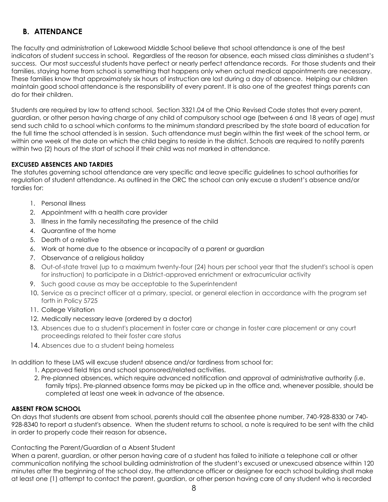# **B. ATTENDANCE**

The faculty and administration of Lakewood Middle School believe that school attendance is one of the best indicators of student success in school. Regardless of the reason for absence, each missed class diminishes a student's success. Our most successful students have perfect or nearly perfect attendance records. For those students and their families, staying home from school is something that happens only when actual medical appointments are necessary. These families know that approximately six hours of instruction are lost during a day of absence. Helping our children maintain good school attendance is the responsibility of every parent. It is also one of the greatest things parents can do for their children.

Students are required by law to attend school. Section 3321.04 of the Ohio Revised Code states that every parent, guardian, or other person having charge of any child of compulsory school age (between 6 and 18 years of age) must send such child to a school which conforms to the minimum standard prescribed by the state board of education for the full time the school attended is in session. Such attendance must begin within the first week of the school term, or within one week of the date on which the child begins to reside in the district. Schools are required to notify parents within two (2) hours of the start of school if their child was not marked in attendance.

# **EXCUSED ABSENCES AND TARDIES**

The statutes governing school attendance are very specific and leave specific guidelines to school authorities for regulation of student attendance. As outlined in the ORC the school can only excuse a student's absence and/or tardies for:

- 1. Personal illness
- 2. Appointment with a health care provider
- 3. Illness in the family necessitating the presence of the child
- 4. Quarantine of the home
- 5. Death of a relative
- 6. Work at home due to the absence or incapacity of a parent or guardian
- 7. Observance of a religious holiday
- 8. Out-of-state travel (up to a maximum twenty-four (24) hours per school year that the student's school is open for instruction) to participate in a District-approved enrichment or extracurricular activity
- 9. Such good cause as may be acceptable to the Superintendent
- 10. Service as a precinct officer at a primary, special, or general election in accordance with the program set forth in Policy 5725
- 11. College Visitation
- 12. Medically necessary leave (ordered by a doctor)
- 13. Absences due to a student's placement in foster care or change in foster care placement or any court proceedings related to their foster care status
- 14. Absences due to a student being homeless

In addition to these LMS will excuse student absence and/or tardiness from school for:

- 1. Approved field trips and school sponsored/related activities.
- 2. Pre-planned absences, which require advanced notification and approval of administrative authority (i.e. family trips). Pre-planned absence forms may be picked up in the office and, whenever possible, should be completed at least one week in advance of the absence.

# **ABSENT FROM SCHOOL**

On days that students are absent from school, parents should call the absentee phone number, 740-928-8330 or 740- 928-8340 to report a student's absence. When the student returns to school, a note is required to be sent with the child in order to properly code their reason for absence**.**

Contacting the Parent/Guardian of a Absent Student

When a parent, guardian, or other person having care of a student has failed to initiate a telephone call or other communication notifying the school building administration of the student's excused or unexcused absence within 120 minutes after the beginning of the school day, the attendance officer or designee for each school building shall make at least one (1) attempt to contact the parent, guardian, or other person having care of any student who is recorded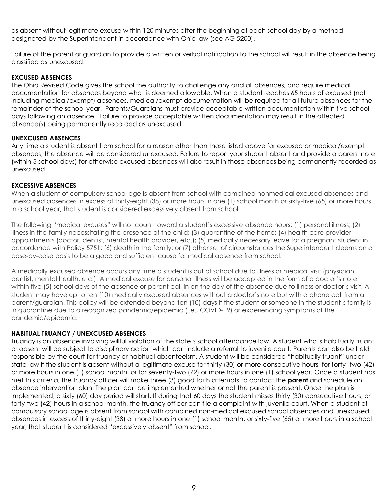as absent without legitimate excuse within 120 minutes after the beginning of each school day by a method designated by the Superintendent in accordance with Ohio law (see AG 5200).

Failure of the parent or guardian to provide a written or verbal notification to the school will result in the absence being classified as unexcused.

#### **EXCUSED ABSENCES**

The Ohio Revised Code gives the school the authority to challenge any and all absences, and require medical documentation for absences beyond what is deemed allowable. When a student reaches 65 hours of excused (not including medical/exempt) absences, medical/exempt documentation will be required for all future absences for the remainder of the school year. Parents/Guardians must provide acceptable written documentation within five school days following an absence. Failure to provide acceptable written documentation may result in the affected absence(s) being permanently recorded as unexcused.

#### **UNEXCUSED ABSENCES**

Any time a student is absent from school for a reason other than those listed above for excused or medical/exempt absences, the absence will be considered unexcused. Failure to report your student absent and provide a parent note (within 5 school days) for otherwise excused absences will also result in those absences being permanently recorded as unexcused.

#### **EXCESSIVE ABSENCES**

When a student of compulsory school age is absent from school with combined nonmedical excused absences and unexcused absences in excess of thirty-eight (38) or more hours in one (1) school month or sixty-five (65) or more hours in a school year, that student is considered excessively absent from school.

The following "medical excuses" will not count toward a student's excessive absence hours: (1) personal illness; (2) illness in the family necessitating the presence of the child; (3) quarantine of the home; (4) health care provider appointments (doctor, dentist, mental health provider, etc.); (5) medically necessary leave for a pregnant student in accordance with Policy 5751; (6) death in the family; or (7) other set of circumstances the Superintendent deems on a case-by-case basis to be a good and sufficient cause for medical absence from school.

A medically excused absence occurs any time a student is out of school due to illness or medical visit (physician, dentist, mental health, etc.). A medical excuse for personal illness will be accepted in the form of a doctor's note within five (5) school days of the absence or parent call-in on the day of the absence due to illness or doctor's visit. A student may have up to ten (10) medically excused absences without a doctor's note but with a phone call from a parent/guardian. This policy will be extended beyond ten (10) days if the student or someone in the student's family is in quarantine due to a recognized pandemic/epidemic (i.e., COVID-19) or experiencing symptoms of the pandemic/epidemic.

# **HABITUAL TRUANCY / UNEXCUSED ABSENCES**

Truancy is an absence involving willful violation of the state's school attendance law. A student who is habitually truant or absent will be subject to disciplinary action which can include a referral to juvenile court. Parents can also be held responsible by the court for truancy or habitual absenteeism. A student will be considered "habitually truant" under state law if the student is absent without a legitimate excuse for thirty (30) or more consecutive hours, for forty- two (42) or more hours in one (1) school month, or for seventy-two (72) or more hours in one (1) school year. Once a student has met this criteria, the truancy officer will make three (3) good faith attempts to contact the **parent** and schedule an absence intervention plan. The plan can be implemented whether or not the parent is present. Once the plan is implemented, a sixty (60) day period will start. If during that 60 days the student misses thirty (30) consecutive hours, or forty-two (42) hours in a school month, the truancy officer can file a complaint with juvenile court. When a student of compulsory school age is absent from school with combined non-medical excused school absences and unexcused absences in excess of thirty-eight (38) or more hours in one (1) school month, or sixty-five (65) or more hours in a school year, that student is considered "excessively absent" from school.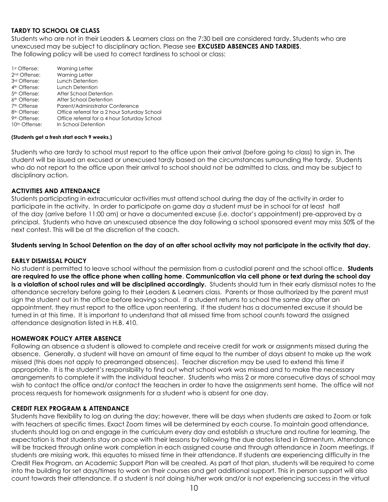#### **TARDY TO SCHOOL OR CLASS**

Students who are not in their Leaders & Learners class on the 7:30 bell are considered tardy. Students who are unexcused may be subject to disciplinary action. Please see **EXCUSED ABSENCES AND TARDIES**. The following policy will be used to correct tardiness to school or class:

| 1st Offense:<br>2 <sup>nd</sup> Offense:<br>3rd Offense:<br>4 <sup>th</sup> Offense:<br>5 <sup>th</sup> Offense:<br>6 <sup>th</sup> Offense:<br>7 <sup>th</sup> Offense | Warning Letter<br><b>Warning Letter</b><br>Lunch Detention<br>Lunch Detention<br>After School Detention<br>After School Detention<br>Parent/Administrator Conference<br>Office referral for a 2 hour Saturday School |
|-------------------------------------------------------------------------------------------------------------------------------------------------------------------------|----------------------------------------------------------------------------------------------------------------------------------------------------------------------------------------------------------------------|
| 8 <sup>th</sup> Offense:<br>9 <sup>th</sup> Offense:<br>10 <sup>th</sup> Offense:                                                                                       | Office referral for a 4 hour Saturday School<br>In School Detention                                                                                                                                                  |

#### **(Students get a fresh start each 9 weeks.)**

Students who are tardy to school must report to the office upon their arrival (before going to class) to sign in. The student will be issued an excused or unexcused tardy based on the circumstances surrounding the tardy. Students who do not report to the office upon their arrival to school should not be admitted to class, and may be subject to disciplinary action.

#### **ACTIVITIES AND ATTENDANCE**

Students participating in extracurricular activities must attend school during the day of the activity in order to participate in the activity. In order to participate on game day a student must be in school for at least half of the day (arrive before 11:00 am) or have a documented excuse (i.e. doctor's appointment) pre-approved by a principal. Students who have an unexcused absence the day following a school sponsored event may miss 50% of the next contest. This will be at the discretion of the coach.

#### **Students serving In School Detention on the day of an after school activity may not participate in the activity that day.**

#### **EARLY DISMISSAL POLICY**

No student is permitted to leave school without the permission from a custodial parent and the school office. **Students are required to use the office phone when calling home**. **Communication via cell phone or text during the school day is a violation of school rules and will be disciplined accordingly.** Students should turn in their early dismissal notes to the attendance secretary before going to their Leaders & Learners class. Parents or those authorized by the parent must sign the student out in the office before leaving school. If a student returns to school the same day after an appointment, they must report to the office upon reentering. If the student has a documented excuse it should be turned in at this time. It is important to understand that all missed time from school counts toward the assigned attendance designation listed in H.B. 410.

#### **HOMEWORK POLICY AFTER ABSENCE**

Following an absence a student is allowed to complete and receive credit for work or assignments missed during the absence. Generally, a student will have an amount of time equal to the number of days absent to make up the work missed (this does not apply to prearranged absences). Teacher discretion may be used to extend this time if appropriate. It is the student's responsibility to find out what school work was missed and to make the necessary arrangements to complete it with the individual teacher. Students who miss 2 or more consecutive days of school may wish to contact the office and/or contact the teachers in order to have the assignments sent home. The office will not process requests for homework assignments for a student who is absent for one day.

#### **CREDIT FLEX PROGRAM & ATTENDANCE**

Students have flexibility to log on during the day; however, there will be days when students are asked to Zoom or talk with teachers at specific times. Exact Zoom times will be determined by each course. To maintain good attendance, students should log on and engage in the curriculum every day and establish a structure and routine for learning. The expectation is that students stay on pace with their lessons by following the due dates listed in Edmentum. Attendance will be tracked through online work completion in each assigned course and through attendance in Zoom meetings. If students are missing work, this equates to missed time in their attendance. If students are experiencing difficulty in the Credit Flex Program, an Academic Support Plan will be created. As part of that plan, students will be required to come into the building for set days/times to work on their courses and get additional support. This in person support will also count towards their attendance. If a student is not doing his/her work and/or is not experiencing success in the virtual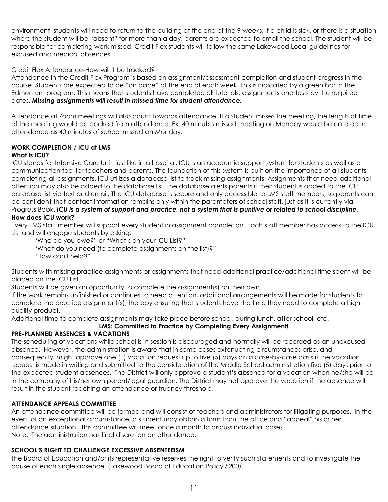environment, students will need to return to the building at the end of the 9 weeks. If a child is sick, or there is a situation where the student will be "absent" for more than a day, parents are expected to email the school. The student will be responsible for completing work missed. Credit Flex students will follow the same Lakewood Local guidelines for excused and medical absences.

#### Credit Flex Attendance-How will it be tracked?

Attendance in the Credit Flex Program is based on assignment/assessment completion and student progress in the course. Students are expected to be "on pace" at the end of each week. This is indicated by a green bar in the Edmentum program. This means that students have completed all tutorials, assignments and tests by the required dates. *Missing assignments will result in missed time for student attendance.*

Attendance at Zoom meetings will also count towards attendance. If a student misses the meeting, the length of time of the meeting would be docked from attendance. Ex. 40 minutes missed meeting on Monday would be entered in attendance as 40 minutes of school missed on Monday.

# **WORK COMPLETION / ICU at LMS**

#### **What is ICU?**

ICU stands for Intensive Care Unit, just like in a hospital. ICU is an academic support system for students as well as a communication tool for teachers and parents. The foundation of this system is built on the importance of all students completing all assignments. ICU utilizes a database list to track missing assignments. Assignments that need additional attention may also be added to the database list. The database alerts parents if their student is added to the ICU database list via text and email. The ICU database is secure and only accessible to LMS staff members, so parents can be confident that contact information remains only within the parameters of school staff, just as it is currently via Progress Book. *ICU is a system of support and practice, not a system that is punitive or related to school discipline.* **How does ICU work?**

Every LMS staff member will support every student in assignment completion. Each staff member has access to the ICU List and will engage students by asking:

"Who do you owe?" or "What's on your ICU List?" "What do you need (to complete assignments on the list)?" "How can I help?"

Students with missing practice assignments or assignments that need additional practice/additional time spent will be placed on the ICU List.

Students will be given an opportunity to complete the assignment(s) on their own.

If the work remains unfinished or continues to need attention, additional arrangements will be made for students to complete the practice assignment(s), thereby ensuring that students have the time they need to complete a high quality product.

Additional time to complete assignments may take place before school, during lunch, after school, etc.

# **LMS: Committed to Practice by Completing Every Assignment!**

#### **PRE-PLANNED ABSENCES & VACATIONS**

The scheduling of vacations while school is in session is discouraged and normally will be recorded as an unexcused absence. However, the administration is aware that in some cases extenuating circumstances arise, and consequently, might approve one (1) vacation request up to five (5) days on a case-by-case basis if the vacation request is made in writing and submitted to the consideration of the Middle School administration five (5) days prior to the expected student absences. The District will only approve a student's absence for a vacation when he/she will be in the company of his/her own parent/legal guardian. The District may not approve the vacation if the absence will result in the student reaching an attendance or truancy threshold.

#### **ATTENDANCE APPEALS COMMITTEE**

An attendance committee will be formed and will consist of teachers and administrators for litigating purposes. In the event of an exceptional circumstance, a student may obtain a form from the office and "appeal" his or her attendance situation. This committee will meet once a month to discuss individual cases. Note: The administration has final discretion on attendance.

#### **SCHOOL'S RIGHT TO CHALLENGE EXCESSIVE ABSENTEEISM**

The Board of Education and/or its representative reserves the right to verify such statements and to investigate the cause of each single absence. (Lakewood Board of Education Policy 5200).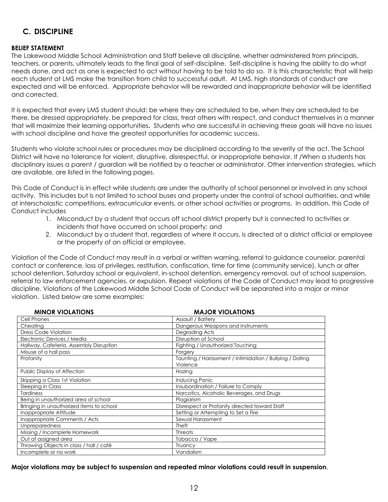# **C. DISCIPLINE**

#### **BELIEF STATEMENT**

The Lakewood Middle School Administration and Staff believe all discipline, whether administered from principals, teachers, or parents, ultimately leads to the final goal of self-discipline. Self-discipline is having the ability to do what needs done, and act as one is expected to act without having to be told to do so. It is this characteristic that will help each student at LMS make the transition from child to successful adult. At LMS, high standards of conduct are expected and will be enforced. Appropriate behavior will be rewarded and inappropriate behavior will be identified and corrected.

It is expected that every LMS student should: be where they are scheduled to be, when they are scheduled to be there, be dressed appropriately, be prepared for class, treat others with respect, and conduct themselves in a manner that will maximize their learning opportunities**.** Students who are successful in achieving these goals will have no issues with school discipline and have the greatest opportunities for academic success.

Students who violate school rules or procedures may be disciplined according to the severity of the act. The School District will have no tolerance for violent, disruptive, disrespectful, or inappropriate behavior. If /When a students has disciplinary issues a parent / guardian will be notified by a teacher or administrator. Other intervention strategies, which are available, are listed in the following pages.

This Code of Conduct is in effect while students are under the authority of school personnel or involved in any school activity. This includes but is not limited to school buses and property under the control of school authorities, and while at interscholastic competitions, extracurricular events, or other school activities or programs. In addition, this Code of Conduct includes

- 1. Misconduct by a student that occurs off school district property but is connected to activities or incidents that have occurred on school property; and
- 2. Misconduct by a student that, regardless of where it occurs, is directed at a district official or employee or the property of an official or employee.

Violation of the Code of Conduct may result in a verbal or written warning, referral to guidance counselor, parental contact or conference, loss of privileges, restitution, confiscation, time for time (community service), lunch or after school detention, Saturday school or equivalent, in-school detention, emergency removal, out of school suspension, referral to law enforcement agencies, or expulsion. Repeat violations of the Code of Conduct may lead to progressive discipline. Violations of the Lakewood Middle School Code of Conduct will be separated into a major or minor violation. Listed below are some examples:

| <b>MINOR VIOLATIONS</b>                  | <b>MAJOR VIOLATIONS</b>                                              |
|------------------------------------------|----------------------------------------------------------------------|
| Cell Phones                              | Assault / Battery                                                    |
| Cheating                                 | Dangerous Weapons and Instruments                                    |
| <b>Dress Code Violation</b>              | Degrading Acts                                                       |
| Electronic Devices / Media               | Disruption of School                                                 |
| Hallway, Cafeteria, Assembly Disruption  | Fighting / Unauthorized Touching                                     |
| Misuse of a hall pass                    | Forgery                                                              |
| Profanity                                | Taunting / Harassment / Intimidation / Bullying / Dating<br>Violence |
| Public Display of Affection              | Hazing                                                               |
| Skipping a Class 1st Violation           | Inducing Panic                                                       |
| Sleeping in Class                        | Insubordination / Failure to Comply                                  |
| <b>Tardiness</b>                         | Narcotics, Alcoholic Beverages, and Drugs                            |
| Being in unauthorized area of school     | Plagiarism                                                           |
| Bringing in unauthorized items to school | Disrespect or Profanity directed toward Staff                        |
| Inappropriate Attitude                   | Setting or Attempting to Set a Fire                                  |
| Inappropriate Comments / Acts            | Sexual Harassment                                                    |
| <b>Unpreparedness</b>                    | <b>Theft</b>                                                         |
| Missing / Incomplete Homework            | <b>Threats</b>                                                       |
| Out of assigned area                     | Tobacco / Vape                                                       |
| Throwing Objects in class / hall / café  | Truancy                                                              |
| Incomplete or no work                    | Vandalism                                                            |

**Major violations may be subject to suspension and repeated minor violations could result in suspension**.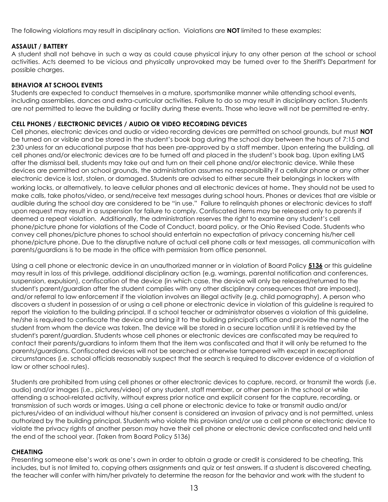The following violations may result in disciplinary action. Violations are **NOT** limited to these examples:

#### **ASSAULT / BATTERY**

A student shall not behave in such a way as could cause physical injury to any other person at the school or school activities. Acts deemed to be vicious and physically unprovoked may be turned over to the Sheriff's Department for possible charges.

#### **BEHAVIOR AT SCHOOL EVENTS**

Students are expected to conduct themselves in a mature, sportsmanlike manner while attending school events, including assemblies, dances and extra-curricular activities. Failure to do so may result in disciplinary action. Students are not permitted to leave the building or facility during these events. Those who leave will not be permitted re-entry.

#### **CELL PHONES / ELECTRONIC DEVICES / AUDIO OR VIDEO RECORDING DEVICES**

Cell phones, electronic devices and audio or video recording devices are permitted on school grounds, but must **NOT** be turned on or visible and be stored in the student's book bag during the school day between the hours of 7:15 and 2:30 unless for an educational purpose that has been pre-approved by a staff member. Upon entering the building, all cell phones and/or electronic devices are to be turned off and placed in the student's book bag. Upon exiting LMS after the dismissal bell, students may take out and turn on their cell phone and/or electronic device. While these devices are permitted on school grounds, the administration assumes no responsibility if a cellular phone or any other electronic device is lost, stolen, or damaged. Students are advised to either secure their belongings in lockers with working locks, or alternatively, to leave cellular phones and all electronic devices at home. They should not be used to make calls, take photos/video, or send/receive text messages during school hours. Phones or devices that are visible or audible during the school day are considered to be "in use." Failure to relinquish phones or electronic devices to staff upon request may result in a suspension for failure to comply. Confiscated items may be released only to parents if deemed a repeat violation. Additionally, the administration reserves the right to examine any student's cell phone/picture phone for violations of the Code of Conduct, board policy, or the Ohio Revised Code. Students who convey cell phones/picture phones to school should entertain no expectation of privacy concerning his/her cell phone/picture phone. Due to the disruptive nature of actual cell phone calls or text messages, all communication with parents/guardians is to be made in the office with permission from office personnel.

Using a cell phone or electronic device in an unauthorized manner or in violation of Board Policy **[5136](http://www.neola.com/lakewoodlsd-oh/search/policies/po5136.htm)** or this guideline may result in loss of this privilege, additional disciplinary action (e.g. warnings, parental notification and conferences, suspension, expulsion), confiscation of the device (in which case, the device will only be released/returned to the student's parent/guardian after the student complies with any other disciplinary consequences that are imposed), and/or referral to law enforcement if the violation involves an illegal activity (e.g. child pornography). A person who discovers a student in possession of or using a cell phone or electronic device in violation of this guideline is required to report the violation to the building principal. If a school teacher or administrator observes a violation of this guideline, he/she is required to confiscate the device and bring it to the building principal's office and provide the name of the student from whom the device was taken. The device will be stored in a secure location until it is retrieved by the student's parent/guardian. Students whose cell phones or electronic devices are confiscated may be required to contact their parents/guardians to inform them that the item was confiscated and that it will only be returned to the parents/guardians. Confiscated devices will not be searched or otherwise tampered with except in exceptional circumstances (i.e. school officials reasonably suspect that the search is required to discover evidence of a violation of law or other school rules).

Students are prohibited from using cell phones or other electronic devices to capture, record, or transmit the words (i.e. audio) and/or images (i.e., pictures/video) of any student, staff member, or other person in the school or while attending a school-related activity, without express prior notice and explicit consent for the capture, recording, or transmission of such words or images. Using a cell phone or electronic device to take or transmit audio and/or pictures/video of an individual without his/her consent is considered an invasion of privacy and is not permitted, unless authorized by the building principal. Students who violate this provision and/or use a cell phone or electronic device to violate the privacy rights of another person may have their cell phone or electronic device confiscated and held until the end of the school year. (Taken from Board Policy 5136)

#### **CHEATING**

Presenting someone else's work as one's own in order to obtain a grade or credit is considered to be cheating. This includes, but is not limited to, copying others assignments and quiz or test answers. If a student is discovered cheating, the teacher will confer with him/her privately to determine the reason for the behavior and work with the student to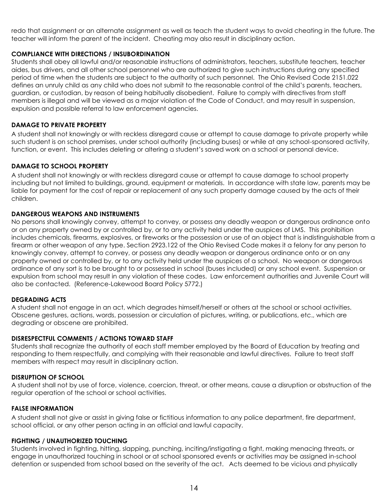redo that assignment or an alternate assignment as well as teach the student ways to avoid cheating in the future. The teacher will inform the parent of the incident. Cheating may also result in disciplinary action.

#### **COMPLIANCE WITH DIRECTIONS / INSUBORDINATION**

Students shall obey all lawful and/or reasonable instructions of administrators, teachers, substitute teachers, teacher aides, bus drivers, and all other school personnel who are authorized to give such instructions during any specified period of time when the students are subject to the authority of such personnel. The Ohio Revised Code 2151.022 defines an unruly child as any child who does not submit to the reasonable control of the child's parents, teachers, guardian, or custodian, by reason of being habitually disobedient. Failure to comply with directives from staff members is illegal and will be viewed as a major violation of the Code of Conduct, and may result in suspension, expulsion and possible referral to law enforcement agencies.

#### **DAMAGE TO PRIVATE PROPERTY**

A student shall not knowingly or with reckless disregard cause or attempt to cause damage to private property while such student is on school premises, under school authority (including buses) or while at any school-sponsored activity, function, or event. This includes deleting or altering a student's saved work on a school or personal device.

#### **DAMAGE TO SCHOOL PROPERTY**

A student shall not knowingly or with reckless disregard cause or attempt to cause damage to school property including but not limited to buildings, ground, equipment or materials. In accordance with state law, parents may be liable for payment for the cost of repair or replacement of any such property damage caused by the acts of their children.

#### **DANGEROUS WEAPONS AND INSTRUMENTS**

No persons shall knowingly convey, attempt to convey, or possess any deadly weapon or dangerous ordinance onto or on any property owned by or controlled by, or to any activity held under the auspices of LMS. This prohibition includes chemicals, firearms, explosives, or fireworks or the possession or use of an object that is indistinguishable from a firearm or other weapon of any type. Section 2923.122 of the Ohio Revised Code makes it a felony for any person to knowingly convey, attempt to convey, or possess any deadly weapon or dangerous ordinance onto or on any property owned or controlled by, or to any activity held under the auspices of a school. No weapon or dangerous ordinance of any sort is to be brought to or possessed in school (buses included) or any school event. Suspension or expulsion from school may result in any violation of these codes. Law enforcement authorities and Juvenile Court will also be contacted. (Reference-Lakewood Board Policy 5772.)

#### **DEGRADING ACTS**

A student shall not engage in an act, which degrades himself/herself or others at the school or school activities. Obscene gestures, actions, words, possession or circulation of pictures, writing, or publications, etc., which are degrading or obscene are prohibited.

#### **DISRESPECTFUL COMMENTS / ACTIONS TOWARD STAFF**

Students shall recognize the authority of each staff member employed by the Board of Education by treating and responding to them respectfully, and complying with their reasonable and lawful directives. Failure to treat staff members with respect may result in disciplinary action.

#### **DISRUPTION OF SCHOOL**

A student shall not by use of force, violence, coercion, threat, or other means, cause a disruption or obstruction of the regular operation of the school or school activities.

#### **FALSE INFORMATION**

A student shall not give or assist in giving false or fictitious information to any police department, fire department, school official, or any other person acting in an official and lawful capacity.

#### **FIGHTING / UNAUTHORIZED TOUCHING**

Students involved in fighting, hitting, slapping, punching, inciting/instigating a fight, making menacing threats, or engage in unauthorized touching in school or at school sponsored events or activities may be assigned in-school detention or suspended from school based on the severity of the act. Acts deemed to be vicious and physically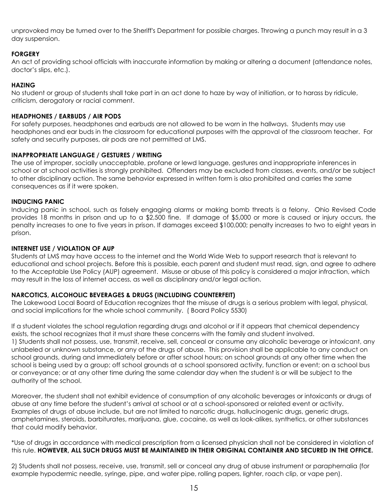unprovoked may be turned over to the Sheriff's Department for possible charges. Throwing a punch may result in a 3 day suspension.

#### **FORGERY**

An act of providing school officials with inaccurate information by making or altering a document (attendance notes, doctor's slips, etc.).

#### **HAZING**

No student or group of students shall take part in an act done to haze by way of initiation, or to harass by ridicule, criticism, derogatory or racial comment.

#### **HEADPHONES / EARBUDS / AIR PODS**

For safety purposes, headphones and earbuds are not allowed to be worn in the hallways. Students may use headphones and ear buds in the classroom for educational purposes with the approval of the classroom teacher. For safety and security purposes, air pods are not permitted at LMS.

# **INAPPROPRIATE LANGUAGE / GESTURES / WRITING**

The use of improper, socially unacceptable, profane or lewd language, gestures and inappropriate inferences in school or at school activities is strongly prohibited. Offenders may be excluded from classes, events, and/or be subject to other disciplinary action. The same behavior expressed in written form is also prohibited and carries the same consequences as if it were spoken.

#### **INDUCING PANIC**

Inducing panic in school, such as falsely engaging alarms or making bomb threats is a felony. Ohio Revised Code provides 18 months in prison and up to a \$2,500 fine. If damage of \$5,000 or more is caused or injury occurs, the penalty increases to one to five years in prison. If damages exceed \$100,000; penalty increases to two to eight years in prison.

#### **INTERNET USE / VIOLATION OF AUP**

Students at LMS may have access to the internet and the World Wide Web to support research that is relevant to educational and school projects. Before this is possible, each parent and student must read, sign, and agree to adhere to the Acceptable Use Policy (AUP) agreement. Misuse or abuse of this policy is considered a major infraction, which may result in the loss of internet access, as well as disciplinary and/or legal action.

#### **NARCOTICS, ALCOHOLIC BEVERAGES & DRUGS (INCLUDING COUNTERFEIT)**

The Lakewood Local Board of Education recognizes that the misuse of drugs is a serious problem with legal, physical, and social implications for the whole school community. ( Board Policy 5530)

If a student violates the school regulation regarding drugs and alcohol or if it appears that chemical dependency exists, the school recognizes that it must share these concerns with the family and student involved. 1) Students shall not possess, use, transmit, receive, sell, conceal or consume any alcoholic beverage or intoxicant, any unlabeled or unknown substance, or any of the drugs of abuse. This provision shall be applicable to any conduct on school grounds, during and immediately before or after school hours; on school grounds at any other time when the school is being used by a group; off school grounds at a school sponsored activity, function or event; on a school bus or conveyance; or at any other time during the same calendar day when the student is or will be subject to the authority of the school.

Moreover, the student shall not exhibit evidence of consumption of any alcoholic beverages or intoxicants or drugs of abuse at any time before the student's arrival at school or at a school-sponsored or related event or activity. Examples of drugs of abuse include, but are not limited to narcotic drugs, hallucinogenic drugs, generic drugs, amphetamines, steroids, barbiturates, marijuana, glue, cocaine, as well as look-alikes, synthetics, or other substances that could modify behavior.

\*Use of drugs in accordance with medical prescription from a licensed physician shall not be considered in violation of this rule. **HOWEVER, ALL SUCH DRUGS MUST BE MAINTAINED IN THEIR ORIGINAL CONTAINER AND SECURED IN THE OFFICE.**

2) Students shall not possess, receive, use, transmit, sell or conceal any drug of abuse instrument or paraphernalia (for example hypodermic needle, syringe, pipe, and water pipe, rolling papers, lighter, roach clip, or vape pen).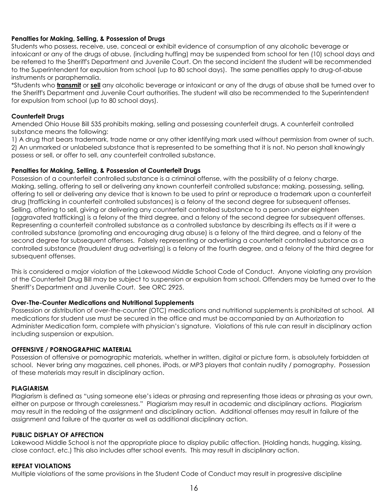#### **Penalties for Making, Selling, & Possession of Drugs**

Students who possess, receive, use, conceal or exhibit evidence of consumption of any alcoholic beverage or intoxicant or any of the drugs of abuse, (including huffing) may be suspended from school for ten (10) school days and be referred to the Sheriff's Department and Juvenile Court. On the second incident the student will be recommended to the Superintendent for expulsion from school (up to 80 school days). The same penalties apply to drug-of-abuse instruments or paraphernalia.

\*Students who **transmit** or **sell** any alcoholic beverage or intoxicant or any of the drugs of abuse shall be turned over to the Sheriff's Department and Juvenile Court authorities. The student will also be recommended to the Superintendent for expulsion from school (up to 80 school days).

#### **Counterfeit Drugs**

Amended Ohio House Bill 535 prohibits making, selling and possessing counterfeit drugs. A counterfeit controlled substance means the following:

1) A drug that bears trademark, trade name or any other identifying mark used without permission from owner of such. 2) An unmarked or unlabeled substance that is represented to be something that it is not. No person shall knowingly possess or sell, or offer to sell, any counterfeit controlled substance.

#### **Penalties for Making, Selling, & Possession of Counterfeit Drugs**

Possession of a counterfeit controlled substance is a criminal offense, with the possibility of a felony charge. Making, selling, offering to sell or delivering any known counterfeit controlled substance; making, possessing, selling, offering to sell or delivering any device that is known to be used to print or reproduce a trademark upon a counterfeit drug (trafficking in counterfeit controlled substances) is a felony of the second degree for subsequent offenses. Selling, offering to sell, giving or delivering any counterfeit controlled substance to a person under eighteen (aggravated trafficking) is a felony of the third degree, and a felony of the second degree for subsequent offenses. Representing a counterfeit controlled substance as a controlled substance by describing its effects as if it were a controlled substance (promoting and encouraging drug abuse) is a felony of the third degree, and a felony of the second degree for subsequent offenses. Falsely representing or advertising a counterfeit controlled substance as a controlled substance (fraudulent drug advertising) is a felony of the fourth degree, and a felony of the third degree for subsequent offenses.

This is considered a major violation of the Lakewood Middle School Code of Conduct. Anyone violating any provision of the Counterfeit Drug Bill may be subject to suspension or expulsion from school. Offenders may be turned over to the Sheriff's Department and Juvenile Court. See ORC 2925.

#### **Over-The-Counter Medications and Nutritional Supplements**

Possession or distribution of over-the-counter (OTC) medications and nutritional supplements is prohibited at school. All medications for student use must be secured in the office and must be accompanied by an Authorization to Administer Medication form, complete with physician's signature. Violations of this rule can result in disciplinary action including suspension or expulsion.

#### **OFFENSIVE / PORNOGRAPHIC MATERIAL**

Possession of offensive or pornographic materials, whether in written, digital or picture form, is absolutely forbidden at school. Never bring any magazines, cell phones, iPods, or MP3 players that contain nudity / pornography. Possession of these materials may result in disciplinary action.

#### **PLAGIARISM**

Plagiarism is defined as "using someone else's ideas or phrasing and representing those ideas or phrasing as your own, either on purpose or through carelessness." Plagiarism may result in academic and disciplinary actions. Plagiarism may result in the redoing of the assignment and disciplinary action. Additional offenses may result in failure of the assignment and failure of the quarter as well as additional disciplinary action.

#### **PUBLIC DISPLAY OF AFFECTION**

Lakewood Middle School is not the appropriate place to display public affection. (Holding hands, hugging, kissing, close contact, etc.) This also includes after school events. This may result in disciplinary action.

#### **REPEAT VIOLATIONS**

Multiple violations of the same provisions in the Student Code of Conduct may result in progressive discipline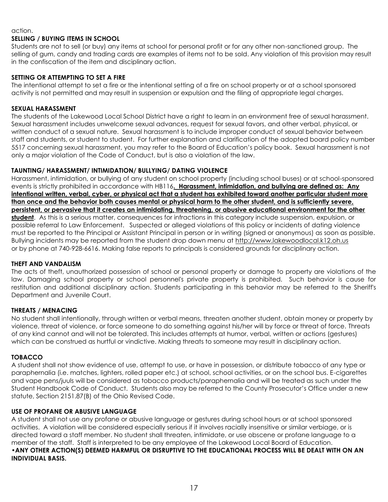#### action.

# **SELLING / BUYING ITEMS IN SCHOOL**

Students are not to sell (or buy) any items at school for personal profit or for any other non-sanctioned group. The selling of gum, candy and trading cards are examples of items not to be sold. Any violation of this provision may result in the confiscation of the item and disciplinary action.

#### **SETTING OR ATTEMPTING TO SET A FIRE**

The intentional attempt to set a fire or the intentional setting of a fire on school property or at a school sponsored activity is not permitted and may result in suspension or expulsion and the filing of appropriate legal charges.

#### **SEXUAL HARASSMENT**

The students of the Lakewood Local School District have a right to learn in an environment free of sexual harassment. Sexual harassment includes unwelcome sexual advances, request for sexual favors, and other verbal, physical, or written conduct of a sexual nature. Sexual harassment is to include improper conduct of sexual behavior between staff and students, or student to student. For further explanation and clarification of the adopted board policy number 5517 concerning sexual harassment, you may refer to the Board of Education's policy book. Sexual harassment is not only a major violation of the Code of Conduct, but is also a violation of the law.

#### **TAUNTING/ HARASSMENT/ INTIMIDATION/ BULLYING/ DATING VIOLENCE**

Harassment, intimidation, or bullying of any student on school property (including school buses) or at school-sponsored events is strictly prohibited in accordance with HB116**. Harassment, intimidation, and bullying are defined as: Any intentional written, verbal, cyber, or physical act that a student has exhibited toward another particular student more than once and the behavior both causes mental or physical harm to the other student, and is sufficiently severe, persistent, or pervasive that it creates an intimidating, threatening, or abusive educational environment for the other student**. As this is a serious matter, consequences for infractions in this category include suspension, expulsion, or possible referral to Law Enforcement. Suspected or alleged violations of this policy or incidents of dating violence must be reported to the Principal or Assistant Principal in person or in writing (signed or anonymous) as soon as possible. Bullying incidents may be reported from the student drop down menu at [http://www.lakewoodlocal.k12.oh.us](http://www.lakewoodlocal.k12.oh.us/) or by phone at 740-928-6616. Making false reports to principals is considered grounds for disciplinary action.

#### **THEFT AND VANDALISM**

The acts of theft, unauthorized possession of school or personal property or damage to property are violations of the law. Damaging school property or school personnel's private property is prohibited. Such behavior is cause for restitution and additional disciplinary action. Students participating in this behavior may be referred to the Sheriff's Department and Juvenile Court.

#### **THREATS / MENACING**

No student shall intentionally, through written or verbal means, threaten another student, obtain money or property by violence, threat of violence, or force someone to do something against his/her will by force or threat of force. Threats of any kind cannot and will not be tolerated. This includes attempts at humor, verbal, written or actions (gestures) which can be construed as hurtful or vindictive. Making threats to someone may result in disciplinary action.

#### **TOBACCO**

A student shall not show evidence of use, attempt to use, or have in possession, or distribute tobacco of any type or paraphernalia (i.e. matches, lighters, rolled paper etc.) at school, school activities, or on the school bus. E-cigarettes and vape pens/juuls will be considered as tobacco products/paraphernalia and will be treated as such under the Student Handbook Code of Conduct. Students also may be referred to the County Prosecutor's Office under a new statute, Section 2151.87(B) of the Ohio Revised Code.

#### **USE OF PROFANE OR ABUSIVE LANGUAGE**

A student shall not use any profane or abusive language or gestures during school hours or at school sponsored activities. A violation will be considered especially serious if it involves racially insensitive or similar verbiage, or is directed toward a staff member. No student shall threaten, intimidate, or use obscene or profane language to a member of the staff. Staff is interpreted to be any employee of the Lakewood Local Board of Education. •**ANY OTHER ACTION(S) DEEMED HARMFUL OR DISRUPTIVE TO THE EDUCATIONAL PROCESS WILL BE DEALT WITH ON AN INDIVIDUAL BASIS.**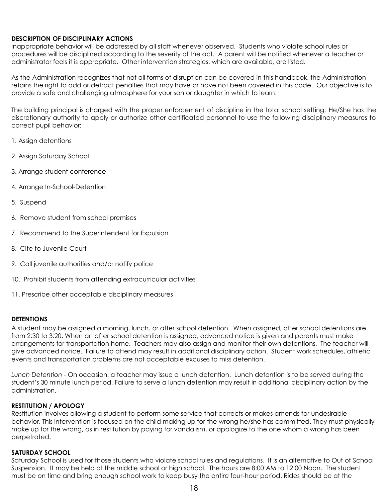#### **DESCRIPTION OF DISCIPLINARY ACTIONS**

Inappropriate behavior will be addressed by all staff whenever observed. Students who violate school rules or procedures will be disciplined according to the severity of the act. A parent will be notified whenever a teacher or administrator feels it is appropriate. Other intervention strategies, which are available, are listed.

As the Administration recognizes that not all forms of disruption can be covered in this handbook, the Administration retains the right to add or detract penalties that may have or have not been covered in this code. Our objective is to provide a safe and challenging atmosphere for your son or daughter in which to learn.

The building principal is charged with the proper enforcement of discipline in the total school setting. He/She has the discretionary authority to apply or authorize other certificated personnel to use the following disciplinary measures to correct pupil behavior:

- 1. Assign detentions
- 2. Assign Saturday School
- 3. Arrange student conference
- 4. Arrange In-School-Detention
- 5. Suspend
- 6. Remove student from school premises
- 7. Recommend to the Superintendent for Expulsion
- 8. Cite to Juvenile Court
- 9. Call juvenile authorities and/or notify police
- 10. Prohibit students from attending extracurricular activities
- 11. Prescribe other acceptable disciplinary measures

#### **DETENTIONS**

A student may be assigned a morning, lunch*,* or after school detention. When assigned, after school detentions are from 2:30 to 3:20. When an after school detention is assigned, advanced notice is given and parents must make arrangements for transportation home. Teachers may also assign and monitor their own detentions. The teacher will give advanced notice. Failure to attend may result in additional disciplinary action. Student work schedules, athletic events and transportation problems are not acceptable excuses to miss detention.

*Lunch Detention -* On occasion, a teacher may issue a lunch detention. Lunch detention is to be served during the student's 30 minute lunch period. Failure to serve a lunch detention may result in additional disciplinary action by the administration.

#### **RESTITUTION / APOLOGY**

Restitution involves allowing a student to perform some service that corrects or makes amends for undesirable behavior. This intervention is focused on the child making up for the wrong he/she has committed. They must physically make up for the wrong, as in restitution by paying for vandalism, or apologize to the one whom a wrong has been perpetrated.

#### **SATURDAY SCHOOL**

Saturday School is used for those students who violate school rules and regulations. It is an alternative to Out of School Suspension. It may be held at the middle school or high school. The hours are 8:00 AM to 12:00 Noon. The student must be on time and bring enough school work to keep busy the entire four-hour period. Rides should be at the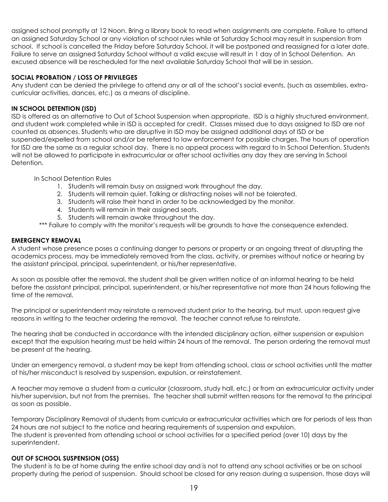assigned school promptly at 12 Noon. Bring a library book to read when assignments are complete. Failure to attend an assigned Saturday School or any violation of school rules while at Saturday School may result in suspension from school. If school is cancelled the Friday before Saturday School, it will be postponed and reassigned for a later date. Failure to serve an assigned Saturday School without a valid excuse will result in 1 day of In School Detention. An excused absence will be rescheduled for the next available Saturday School that will be in session.

#### **SOCIAL PROBATION / LOSS OF PRIVILEGES**

Any student can be denied the privilege to attend any or all of the school's social events, (such as assemblies, extracurricular activities, dances, etc.) as a means of discipline.

#### **IN SCHOOL DETENTION (ISD)**

ISD is offered as an alternative to Out of School Suspension when appropriate. ISD is a highly structured environment, and student work completed while in ISD is accepted for credit. Classes missed due to days assigned to ISD are not counted as absences. Students who are disruptive in ISD may be assigned additional days of ISD or be suspended/expelled from school and/or be referred to law enforcement for possible charges. The hours of operation for ISD are the same as a regular school day. There is no appeal process with regard to In School Detention. Students will not be allowed to participate in extracurricular or after school activities any day they are serving In School Detention.

In School Detention Rules

- 1. Students will remain busy on assigned work throughout the day.
- 2. Students will remain quiet. Talking or distracting noises will not be tolerated.
- 3. Students will raise their hand in order to be acknowledged by the monitor.
- 4. Students will remain in their assigned seats.
- 5. Students will remain awake throughout the day.

\*\*\* Failure to comply with the monitor's requests will be grounds to have the consequence extended.

#### **EMERGENCY REMOVAL**

A student whose presence poses a continuing danger to persons or property or an ongoing threat of disrupting the academics process, may be immediately removed from the class, activity, or premises without notice or hearing by the assistant principal, principal, superintendent, or his/her representative.

As soon as possible after the removal, the student shall be given written notice of an informal hearing to be held before the assistant principal, principal, superintendent, or his/her representative not more than 24 hours following the time of the removal.

The principal or superintendent may reinstate a removed student prior to the hearing, but must, upon request give reasons in writing to the teacher ordering the removal. The teacher cannot refuse to reinstate.

The hearing shall be conducted in accordance with the intended disciplinary action, either suspension or expulsion except that the expulsion hearing must be held within 24 hours of the removal. The person ordering the removal must be present at the hearing.

Under an emergency removal, a student may be kept from attending school, class or school activities until the matter of his/her misconduct is resolved by suspension, expulsion, or reinstatement.

A teacher may remove a student from a curricular (classroom, study hall, etc.) or from an extracurricular activity under his/her supervision, but not from the premises. The teacher shall submit written reasons for the removal to the principal as soon as possible.

Temporary Disciplinary Removal of students from curricula or extracurricular activities which are for periods of less than 24 hours are not subject to the notice and hearing requirements of suspension and expulsion. The student is prevented from attending school or school activities for a specified period (over 10) days by the superintendent.

#### **OUT OF SCHOOL SUSPENSION (OSS)**

The student is to be at home during the entire school day and is not to attend any school activities or be on school property during the period of suspension. Should school be closed for any reason during a suspension, those days will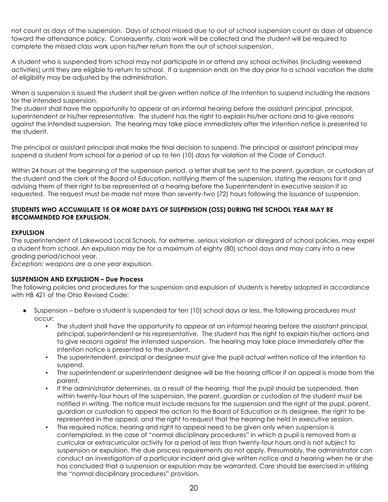not count as days of the suspension. Days of school missed due to out of school suspension count as days of absence toward the attendance policy. Consequently, class work will be collected and the student will be required to complete the missed class work upon his/her return from the out of school suspension.

A student who is suspended from school may not participate in or attend any school activities (including weekend activities) until they are eligible to return to school. If a suspension ends on the day prior to a school vacation the date of eligibility may be adjusted by the administration.

When a suspension is issued the student shall be given written notice of the intention to suspend including the reasons for the intended suspension.

The student shall have the opportunity to appear at an informal hearing before the assistant principal, principal, superintendent or his/her representative. The student has the right to explain his/her actions and to give reasons against the intended suspension. The hearing may take place immediately after the intention notice is presented to the student.

The principal or assistant principal shall make the final decision to suspend. The principal or assistant principal may suspend a student from school for a period of up to ten (10) days for violation of the Code of Conduct.

Within 24 hours of the beginning of the suspension period, a letter shall be sent to the parent, guardian, or custodian of the student and the clerk of the Board of Education, notifying them of the suspension, stating the reasons for it and advising them of their right to be represented at a hearing before the Superintendent in executive session if so requested. The request must be made not more than seventy-two (72) hours following the issuance of suspension.

#### **STUDENTS WHO ACCUMULATE 15 OR MORE DAYS OF SUSPENSION (OSS) DURING THE SCHOOL YEAR MAY BE RECOMMENDED FOR EXPULSION.**

#### **EXPULSION**

The superintendent of Lakewood Local Schools, for extreme, serious violation or disregard of school policies, may expel a student from school. An expulsion may be for a maximum of eighty (80) school days and may carry into a new grading period/school year.

*Exception: weapons are a one year expulsion.*

#### **SUSPENSION AND EXPULSION – Due Process**

The following policies and procedures for the suspension and expulsion of students is hereby adopted in accordance with HB 421 of the Ohio Revised Code:

- Suspension before a student is suspended for ten (10) school days or less, the following procedures must occur:
	- The student shall have the opportunity to appear at an informal hearing before the assistant principal, principal, superintendent or his representative. The student has the right to explain his/her actions and to give reasons against the intended suspension. The hearing may take place immediately after the intention notice is presented to the student.
	- The superintendent, principal or designee must give the pupil actual written notice of the intention to suspend.
	- The superintendent or superintendent designee will be the hearing officer if an appeal is made from the parent.
	- If the administrator determines, as a result of the hearing, that the pupil should be suspended, then within twenty-four hours of the suspension, the parent, guardian or custodian of the student must be notified in writing. The notice must include reasons for the suspension and the right of the pupil, parent, guardian or custodian to appeal the action to the Board of Education or its designee, the right to be represented in the appeal, and the right to request that the hearing be held in executive session.
	- The required notice, hearing and right to appeal need to be given only when suspension is contemplated. In the case of "normal disciplinary procedures" in which a pupil is removed from a curricular or extracurricular activity for a period of less than twenty-four hours and is not subject to suspension or expulsion, the due process requirements do not apply. Presumably, the administrator can conduct an investigation of a particular incident and give written notice and a hearing when he or she has concluded that a suspension or expulsion may be warranted. Care should be exercised in utilizing the "normal disciplinary procedures" provision.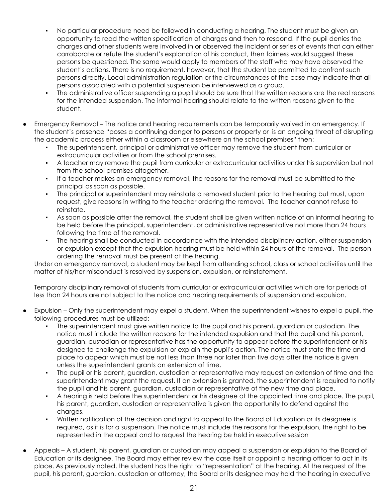- No particular procedure need be followed in conducting a hearing. The student must be given an opportunity to read the written specification of charges and then to respond. If the pupil denies the charges and other students were involved in or observed the incident or series of events that can either corroborate or refute the student's explanation of his conduct, then fairness would suggest these persons be questioned. The same would apply to members of the staff who may have observed the student's actions. There is no requirement, however, that the student be permitted to confront such persons directly. Local administration regulation or the circumstances of the case may indicate that all persons associated with a potential suspension be interviewed as a group.
- The administrative officer suspending a pupil should be sure that the written reasons are the real reasons for the intended suspension. The informal hearing should relate to the written reasons given to the student.
- Emergency Removal The notice and hearing requirements can be temporarily waived in an emergency. If the student's presence "poses a continuing danger to persons or property or is an ongoing threat of disrupting the academic process either within a classroom or elsewhere on the school premises" then:
	- The superintendent, principal or administrative officer may remove the student from curricular or extracurricular activities or from the school premises.
	- A teacher may remove the pupil from curricular or extracurricular activities under his supervision but not from the school premises altogether.
	- If a teacher makes an emergency removal, the reasons for the removal must be submitted to the principal as soon as possible.
	- The principal or superintendent may reinstate a removed student prior to the hearing but must, upon request, give reasons in writing to the teacher ordering the removal. The teacher cannot refuse to reinstate.
	- As soon as possible after the removal, the student shall be given written notice of an informal hearing to be held before the principal, superintendent, or administrative representative not more than 24 hours following the time of the removal.
	- The hearing shall be conducted in accordance with the intended disciplinary action, either suspension or expulsion except that the expulsion hearing must be held within 24 hours of the removal. The person ordering the removal must be present at the hearing.

Under an emergency removal, a student may be kept from attending school, class or school activities until the matter of his/her misconduct is resolved by suspension, expulsion, or reinstatement.

Temporary disciplinary removal of students from curricular or extracurricular activities which are for periods of less than 24 hours are not subject to the notice and hearing requirements of suspension and expulsion.

- Expulsion Only the superintendent may expel a student. When the superintendent wishes to expel a pupil, the following procedures must be utilized:
	- The superintendent must give written notice to the pupil and his parent, guardian or custodian. The notice must include the written reasons for the intended expulsion and that the pupil and his parent, guardian, custodian or representative has the opportunity to appear before the superintendent or his designee to challenge the expulsion or explain the pupil's action. The notice must state the time and place to appear which must be not less than three nor later than five days after the notice is given unless the superintendent grants an extension of time.
	- The pupil or his parent, guardian, custodian or representative may request an extension of time and the superintendent may grant the request. If an extension is granted, the superintendent is required to notify the pupil and his parent, guardian, custodian or representative of the new time and place.
	- A hearing is held before the superintendent or his designee at the appointed time and place. The pupil, his parent, guardian, custodian or representative is given the opportunity to defend against the charges.
	- Written notification of the decision and right to appeal to the Board of Education or its designee is required, as it is for a suspension. The notice must include the reasons for the expulsion, the right to be represented in the appeal and to request the hearing be held in executive session
- Appeals A student, his parent, guardian or custodian may appeal a suspension or expulsion to the Board of Education or its designee. The Board may either review the case itself or appoint a hearing officer to act in its place. As previously noted, the student has the right to "representation" at the hearing. At the request of the pupil, his parent, guardian, custodian or attorney, the Board or its designee may hold the hearing in executive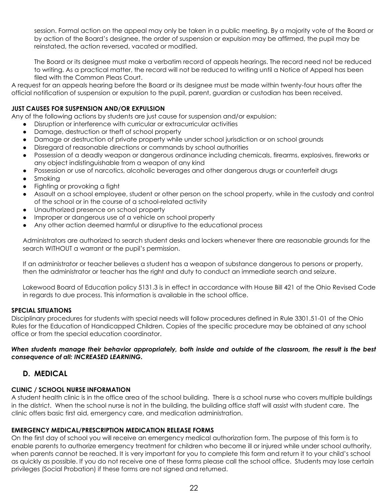session. Formal action on the appeal may only be taken in a public meeting. By a majority vote of the Board or by action of the Board's designee, the order of suspension or expulsion may be affirmed, the pupil may be reinstated, the action reversed, vacated or modified.

The Board or its designee must make a verbatim record of appeals hearings. The record need not be reduced to writing. As a practical matter, the record will not be reduced to writing until a Notice of Appeal has been filed with the Common Pleas Court.

A request for an appeals hearing before the Board or its designee must be made within twenty-four hours after the official notification of suspension or expulsion to the pupil, parent, guardian or custodian has been received.

#### **JUST CAUSES FOR SUSPENSION AND/OR EXPULSION**

Any of the following actions by students are just cause for suspension and/or expulsion:

- Disruption or interference with curricular or extracurricular activities
- Damage, destruction or theft of school property
- Damage or destruction of private property while under school jurisdiction or on school grounds
- Disregard of reasonable directions or commands by school authorities
- Possession of a deadly weapon or dangerous ordinance including chemicals, firearms, explosives, fireworks or any object indistinguishable from a weapon of any kind
- Possession or use of narcotics, alcoholic beverages and other dangerous drugs or counterfeit drugs
- Smoking
- Fighting or provoking a fight
- Assault on a school employee, student or other person on the school property, while in the custody and control of the school or in the course of a school-related activity
- Unauthorized presence on school property
- Improper or dangerous use of a vehicle on school property
- Any other action deemed harmful or disruptive to the educational process

Administrators are authorized to search student desks and lockers whenever there are reasonable grounds for the search WITHOUT a warrant or the pupil's permission.

If an administrator or teacher believes a student has a weapon of substance dangerous to persons or property, then the administrator or teacher has the right and duty to conduct an immediate search and seizure.

Lakewood Board of Education policy 5131.3 is in effect in accordance with House Bill 421 of the Ohio Revised Code in regards to due process. This information is available in the school office.

#### **SPECIAL SITUATIONS**

Disciplinary procedures for students with special needs will follow procedures defined in Rule 3301.51-01 of the Ohio Rules for the Education of Handicapped Children. Copies of the specific procedure may be obtained at any school office or from the special education coordinator.

*When students manage their behavior appropriately, both inside and outside of the classroom, the result is the best consequence of all: INCREASED LEARNING.* 

# **D. MEDICAL**

# **CLINIC / SCHOOL NURSE INFORMATION**

A student health clinic is in the office area of the school building. There is a school nurse who covers multiple buildings in the district. When the school nurse is not in the building, the building office staff will assist with student care. The clinic offers basic first aid, emergency care, and medication administration.

#### **EMERGENCY MEDICAL/PRESCRIPTION MEDICATION RELEASE FORMS**

On the first day of school you will receive an emergency medical authorization form. The purpose of this form is to enable parents to authorize emergency treatment for children who become ill or injured while under school authority, when parents cannot be reached. It is very important for you to complete this form and return it to your child's school as quickly as possible. If you do not receive one of these forms please call the school office. Students may lose certain privileges (Social Probation) if these forms are not signed and returned.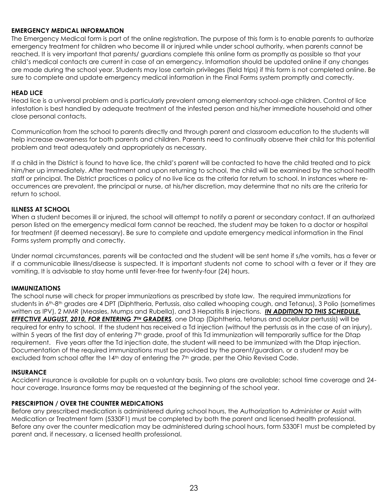#### **EMERGENCY MEDICAL INFORMATION**

The Emergency Medical form is part of the online registration. The purpose of this form is to enable parents to authorize emergency treatment for children who become ill or injured while under school authority, when parents cannot be reached. It is very important that parents/ guardians complete this online form as promptly as possible so that your child's medical contacts are current in case of an emergency. Information should be updated online if any changes are made during the school year. Students may lose certain privileges (field trips) if this form is not completed online. Be sure to complete and update emergency medical information in the Final Forms system promptly and correctly.

#### **HEAD LICE**

Head lice is a universal problem and is particularly prevalent among elementary school-age children. Control of lice infestation is best handled by adequate treatment of the infested person and his/her immediate household and other close personal contacts.

Communication from the school to parents directly and through parent and classroom education to the students will help increase awareness for both parents and children. Parents need to continually observe their child for this potential problem and treat adequately and appropriately as necessary.

If a child in the District is found to have lice, the child's parent will be contacted to have the child treated and to pick him/her up immediately. After treatment and upon returning to school, the child will be examined by the school health staff or principal. The District practices a policy of no live lice as the criteria for return to school. In instances where reoccurrences are prevalent, the principal or nurse, at his/her discretion, may determine that no nits are the criteria for return to school.

#### **ILLNESS AT SCHOOL**

When a student becomes ill or injured, the school will attempt to notify a parent or secondary contact. If an authorized person listed on the emergency medical form cannot be reached, the student may be taken to a doctor or hospital for treatment (if deemed necessary). Be sure to complete and update emergency medical information in the Final Forms system promptly and correctly.

Under normal circumstances, parents will be contacted and the student will be sent home if s/he vomits, has a fever or if a communicable illness/disease is suspected. It is important students not come to school with a fever or if they are vomiting. It is advisable to stay home until fever-free for twenty-four (24) hours.

#### **IMMUNIZATIONS**

The school nurse will check for proper immunizations as prescribed by state law. The required immunizations for students in 6<sup>th</sup>-8<sup>th</sup> grades are 4 DPT (Diphtheria, Pertussis, also called whooping cough, and Tetanus), 3 Polio (sometimes written as IPV), 2 MMR (Measles, Mumps and Rubella), and 3 Hepatitis B injections. *IN ADDITION TO THIS SCHEDULE, EFFECTIVE AUGUST, 2010, FOR ENTERING 7TH GRADERS*, one Dtap (Diphtheria, tetanus and acellular pertussis) will be required for entry to school. If the student has received a Td injection (without the pertussis as in the case of an injury), within 5 years of the first day of entering 7<sup>th</sup> grade, proof of this Td immunization will temporarily suffice for the Dtap requirement. Five years after the Td injection date, the student will need to be immunized with the Dtap injection. Documentation of the required immunizations must be provided by the parent/guardian, or a student may be excluded from school after the  $14<sup>th</sup>$  day of entering the  $7<sup>th</sup>$  grade, per the Ohio Revised Code.

#### **INSURANCE**

Accident insurance is available for pupils on a voluntary basis. Two plans are available: school time coverage and 24 hour coverage. Insurance forms may be requested at the beginning of the school year.

#### **PRESCRIPTION / OVER THE COUNTER MEDICATIONS**

Before any prescribed medication is administered during school hours, the Authorization to Administer or Assist with Medication or Treatment form (5330F1) must be completed by both the parent and licensed health professional. Before any over the counter medication may be administered during school hours, form 5330F1 must be completed by parent and, if necessary, a licensed health professional.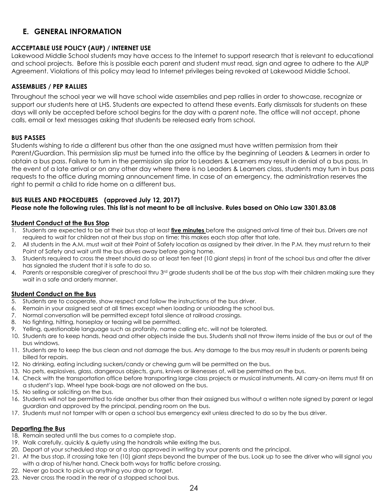# **E. GENERAL INFORMATION**

#### **ACCEPTABLE USE POLICY (AUP) / INTERNET USE**

Lakewood Middle School students may have access to the Internet to support research that is relevant to educational and school projects. Before this is possible each parent and student must read, sign and agree to adhere to the AUP Agreement. Violations of this policy may lead to Internet privileges being revoked at Lakewood Middle School.

#### **ASSEMBLIES / PEP RALLIES**

Throughout the school year we will have school wide assemblies and pep rallies in order to showcase, recognize or support our students here at LHS. Students are expected to attend these events. Early dismissals for students on these days will only be accepted before school begins for the day with a parent note. The office will not accept, phone calls, email or text messages asking that students be released early from school.

#### **BUS PASSES**

Students wishing to ride a different bus other than the one assigned must have written permission from their Parent/Guardian. This permission slip must be turned into the office by the beginning of Leaders & Learners in order to obtain a bus pass. Failure to turn in the permission slip prior to Leaders & Learners may result in denial of a bus pass. In the event of a late arrival or on any other day where there is no Leaders & Learners class, students may turn in bus pass requests to the office during morning announcement time. In case of an emergency, the administration reserves the right to permit a child to ride home on a different bus.

#### **BUS RULES AND PROCEDURES (approved July 12, 2017) Please note the following rules. This list is not meant to be all inclusive. Rules based on Ohio Law 3301.83.08**

#### **Student Conduct at the Bus Stop**

- 1. Students are expected to be at their bus stop at least **five minutes** before the assigned arrival time of their bus. Drivers are not required to wait for children not at their bus stop on time; this makes each stop after that late.
- 2. All students in the A.M. must wait at their Point of Safety location as assigned by their driver. In the P.M. they must return to their Point of Safety and wait until the bus drives away before going home.
- 3. Students required to cross the street should do so at least ten feet (10 giant steps) in front of the school bus and after the driver has signaled the student that it is safe to do so.
- 4. Parents or responsible caregiver of preschool thru 3<sup>rd</sup> grade students shall be at the bus stop with their children making sure they wait in a safe and orderly manner.

#### **Student Conduct on the Bus**

- 5. Students are to cooperate, show respect and follow the instructions of the bus driver.
- 6. Remain in your assigned seat at all times except when loading or unloading the school bus.
- 7. Normal conversation will be permitted except total silence at railroad crossings.
- 8. No fighting, hitting, horseplay or teasing will be permitted.
- 9. Yelling, questionable language such as profanity, name calling etc. will not be tolerated.
- 10. Students are to keep hands, head and other objects inside the bus. Students shall not throw items inside of the bus or out of the bus windows.
- 11. Students are to keep the bus clean and not damage the bus. Any damage to the bus may result in students or parents being billed for repairs.
- 12. No drinking, eating including suckers/candy or chewing gum will be permitted on the bus.
- 13. No pets, explosives, glass, dangerous objects, guns, knives or likenesses of, will be permitted on the bus.
- 14. Check with the transportation office before transporting large class projects or musical instruments. All carry-on items must fit on a student's lap. Wheel type book-bags are not allowed on the bus.
- 15. No selling or soliciting on the bus.
- 16. Students will not be permitted to ride another bus other than their assigned bus without a written note signed by parent or legal guardian and approved by the principal, pending room on the bus.
- 17. Students must not tamper with or open a school bus emergency exit unless directed to do so by the bus driver.

#### **Departing the Bus**

- 18. Remain seated until the bus comes to a complete stop.
- 19. Walk carefully, quickly & quietly using the handrails while exiting the bus.
- 20. Depart at your scheduled stop or at a stop approved in writing by your parents and the principal.
- 21. At the bus stop, if crossing take ten (10) giant steps beyond the bumper of the bus. Look up to see the driver who will signal you with a drop of his/her hand. Check both ways for traffic before crossing.
- 22. Never go back to pick up anything you drop or forget.
- 23. Never cross the road in the rear of a stopped school bus.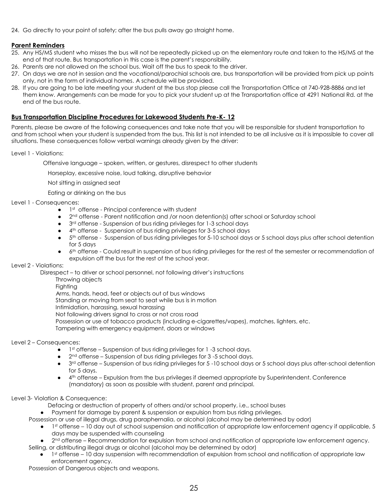24. Go directly to your point of safety; after the bus pulls away go straight home.

#### **Parent Reminders**

- 25. Any HS/MS student who misses the bus will not be repeatedly picked up on the elementary route and taken to the HS/MS at the end of that route. Bus transportation in this case is the parent's responsibility.
- 26. Parents are not allowed on the school bus. Wait off the bus to speak to the driver.
- 27. On days we are not in session and the vocational/parochial schools are, bus transportation will be provided from pick up points only, not in the form of individual homes. A schedule will be provided.
- 28. If you are going to be late meeting your student at the bus stop please call the Transportation Office at 740-928-8886 and let them know. Arrangements can be made for you to pick your student up at the Transportation office at 4291 National Rd. at the end of the bus route.

#### **Bus Transportation Discipline Procedures for Lakewood Students Pre-K- 12**

Parents, please be aware of the following consequences and take note that you will be responsible for student transportation to and from school when your student is suspended from the bus. This list is not intended to be all inclusive as it is impossible to cover all situations. These consequences follow verbal warnings already given by the driver:

#### Level 1 - Violations:

Offensive language – spoken, written, or gestures, disrespect to other students

Horseplay, excessive noise, loud talking, disruptive behavior

Not sitting in assigned seat

Eating or drinking on the bus

#### Level 1 - Consequences:

- 1 st offense Principal conference with student
- 2<sup>nd</sup> offense Parent notification and /or noon detention(s) after school or Saturday school
- 3<sup>rd</sup> offense Suspension of bus riding privileges for 1-3 school days
- 4<sup>th</sup> offense Suspension of bus riding privileges for 3-5 school days
- 5<sup>th</sup> offense Suspension of bus riding privileges for 5-10 school days or 5 school days plus after school detention for 5 days
- 6<sup>th</sup> offense Could result in suspension of bus riding privileges for the rest of the semester or recommendation of expulsion off the bus for the rest of the school year.

#### Level 2 - Violations:

Disrespect – to driver or school personnel, not following driver's instructions

Throwing objects

Fighting

 Arms, hands, head, feet or objects out of bus windows Standing or moving from seat to seat while bus is in motion Intimidation, harassing, sexual harassing Not following drivers signal to cross or not cross road Possession or use of tobacco products (including e-cigarettes/vapes), matches, lighters, etc. Tampering with emergency equipment, doors or windows

#### Level 2 – Consequences:

- 1<sup>st</sup> offense Suspension of bus riding privileges for 1-3 school days.
- 2<sup>nd</sup> offense Suspension of bus riding privileges for 3-5 school days.
- 3<sup>rd</sup> offense Suspension of bus riding privileges for 5 -10 school days or 5 school days plus after-school detention for 5 days.
- 4<sup>th</sup> offense Expulsion from the bus privileges if deemed appropriate by Superintendent. Conference (mandatory) as soon as possible with student, parent and principal.

#### Level 3- Violation & Consequence:

- Defacing or destruction of property of others and/or school property, i.e., school buses
- Payment for damage by parent & suspension or expulsion from bus riding privileges.
- Possession or use of illegal drugs, drug paraphernalia, or alcohol (alcohol may be determined by odor)
	- 1<sup>st</sup> offense 10 day out of school suspension and notification of appropriate law enforcement agency if applicable, 5 days may be suspended with counseling
	- 2<sup>nd</sup> offense Recommendation for expulsion from school and notification of appropriate law enforcement agency.
- Selling, or distributing illegal drugs or alcohol (alcohol may be determined by odor)
	- 1st offense 10 day suspension with recommendation of expulsion from school and notification of appropriate law enforcement agency.

Possession of Dangerous objects and weapons.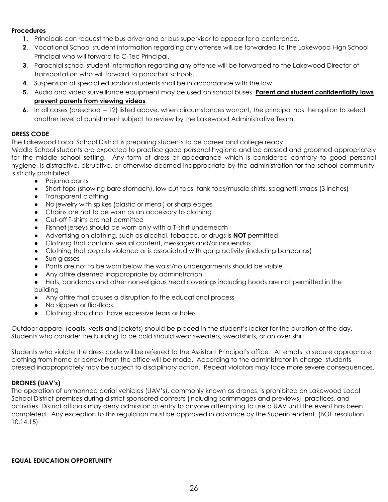#### **Procedures**

- **1.** Principals can request the bus driver and or bus supervisor to appear for a conference.
- **2.** Vocational School student information regarding any offense will be forwarded to the Lakewood High School Principal who will forward to C-Tec Principal.
- **3.** Parochial school student information regarding any offense will be forwarded to the Lakewood Director of Transportation who will forward to parochial schools.
- **4.** Suspension of special education students shall be in accordance with the law.
- **5.** Audio and video surveillance equipment may be used on school buses. **Parent and student confidentiality laws prevent parents from viewing videos**
- **6.** In all cases (preschool 12) listed above, when circumstances warrant, the principal has the option to select another level of punishment subject to review by the Lakewood Administrative Team.

#### **DRESS CODE**

The Lakewood Local School District is preparing students to be career and college ready.

Middle School students are expected to practice good personal hygiene and be dressed and groomed appropriately for the middle school setting. Any form of dress or appearance which is considered contrary to good personal hygiene, is distractive, disruptive, or otherwise deemed inappropriate by the administration for the school community, is strictly prohibited:

- Pajama pants
- Short tops (showing bare stomach), low cut tops, tank tops/muscle shirts, spaghetti straps (3 inches)
- Transparent clothing
- No jewelry with spikes (plastic or metal) or sharp edges
- Chains are not to be worn as an accessory to clothing
- Cut-off T-shirts are not permitted
- Fishnet jerseys should be worn only with a T-shirt underneath
- Advertising on clothing, such as alcohol, tobacco, or drugs is **NOT** permitted
- Clothing that contains sexual content, messages and/or innuendos
- Clothing that depicts violence or is associated with gang activity (including bandanas)
- Sun glasses
- Pants are not to be worn below the waist/no undergarments should be visible
- Any attire deemed inappropriate by administration

● Hats, bandanas and other non-religious head coverings including hoods are not permitted in the building

- Any attire that causes a disruption to the educational process
- No slippers or flip-flops
- Clothing should not have excessive tears or holes

Outdoor apparel (coats, vests and jackets) should be placed in the student's locker for the duration of the day. Students who consider the building to be cold should wear sweaters, sweatshirts, or an over shirt.

Students who violate the dress code will be referred to the Assistant Principal's office. Attempts to secure appropriate clothing from home or borrow from the office will be made. According to the administrator in charge, students dressed inappropriately may be subject to disciplinary action. Repeat violators may face more severe consequences.

# **DRONES (UAV's)**

The operation of unmanned aerial vehicles (UAV's), commonly known as drones, is prohibited on Lakewood Local School District premises during district sponsored contests (including scrimmages and previews), practices, and activities. District officials may deny admission or entry to anyone attempting to use a UAV until the event has been completed. Any exception to this regulation must be approved in advance by the Superintendent. (BOE resolution 10.14.15)

#### **EQUAL EDUCATION OPPORTUNITY**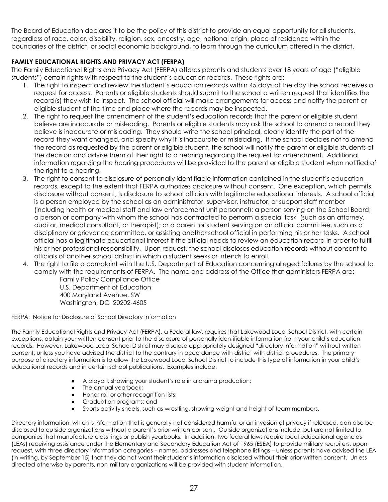The Board of Education declares it to be the policy of this district to provide an equal opportunity for all students, regardless of race, color, disability, religion, sex, ancestry, age, national origin, place of residence within the boundaries of the district, or social economic background, to learn through the curriculum offered in the district.

# **FAMILY EDUCATIONAL RIGHTS AND PRIVACY ACT (FERPA)**

The Family Educational Rights and Privacy Act (FERPA) affords parents and students over 18 years of age ("eligible students") certain rights with respect to the student's education records. These rights are:

- 1. The right to inspect and review the student's education records within 45 days of the day the school receives a request for access. Parents or eligible students should submit to the school a written request that identifies the record(s) they wish to inspect. The school official will make arrangements for access and notify the parent or eligible student of the time and place where the records may be inspected.
- 2. The right to request the amendment of the student's education records that the parent or eligible student believe are inaccurate or misleading. Parents or eligible students may ask the school to amend a record they believe is inaccurate or misleading. They should write the school principal, clearly identify the part of the record they want changed, and specify why it is inaccurate or misleading. If the school decides not to amend the record as requested by the parent or eligible student, the school will notify the parent or eligible students of the decision and advise them of their right to a hearing regarding the request for amendment. Additional information regarding the hearing procedures will be provided to the parent or eligible student when notified of the right to a hearing.
- 3. The right to consent to disclosure of personally identifiable information contained in the student's education records, except to the extent that FERPA authorizes disclosure without consent. One exception, which permits disclosure without consent, is disclosure to school officials with legitimate educational interests. A school official is a person employed by the school as an administrator, supervisor, instructor, or support staff member (including health or medical staff and law enforcement unit personnel); a person serving on the School Board; a person or company with whom the school has contracted to perform a special task (such as an attorney, auditor, medical consultant, or therapist); or a parent or student serving on an official committee, such as a disciplinary or grievance committee, or assisting another school official in performing his or her tasks. A school official has a legitimate educational interest if the official needs to review an education record in order to fulfill his or her professional responsibility. Upon request, the school discloses education records without consent to officials of another school district in which a student seeks or intends to enroll.
- 4. The right to file a complaint with the U.S. Department of Education concerning alleged failures by the school to comply with the requirements of FERPA. The name and address of the Office that administers FERPA are:

Family Policy Compliance Office U.S. Department of Education 400 Maryland Avenue, SW Washington, DC 20202-4605

FERPA: Notice for Disclosure of School Directory Information

The Family Educational Rights and Privacy Act (FERPA), a Federal law, requires that Lakewood Local School District, with certain exceptions, obtain your written consent prior to the disclosure of personally identifiable information from your child's education records. However, Lakewood Local School District may disclose appropriately designed "directory information" without written consent, unless you have advised the district to the contrary in accordance with district with district procedures. The primary purpose of directory information is to allow the Lakewood Local School District to include this type of information in your child's educational records and in certain school publications. Examples include:

- A playbill, showing your student's role in a drama production;
- The annual yearbook;
- Honor roll or other recognition lists;
- Graduation programs; and
- Sports activity sheets, such as wrestling, showing weight and height of team members.

Directory information, which is information that is generally not considered harmful or an invasion of privacy if released, can also be disclosed to outside organizations without a parent's prior written consent. Outside organizations include, but are not limited to, companies that manufacture class rings or publish yearbooks. In addition, two federal laws require local educational agencies (LEAs) receiving assistance under the Elementary and Secondary Education Act of 1965 (ESEA) to provide military recruiters, upon request, with three directory information categories – names, addresses and telephone listings – unless parents have advised the LEA (in writing, by September 15) that they do not want their student's information disclosed without their prior written consent. Unless directed otherwise by parents, non-military organizations will be provided with student information.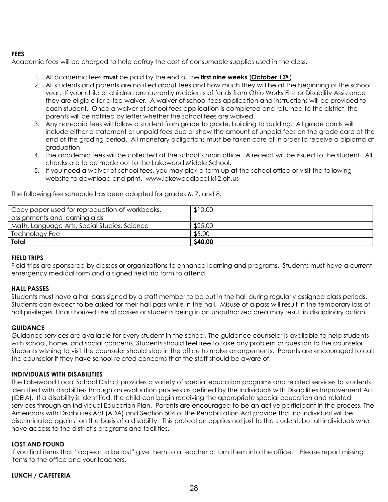# **FEES**

Academic fees will be charged to help defray the cost of consumable supplies used in the class.

- 1. All academic fees **must** be paid by the end of the **first nine weeks** (*October 13th*).
- 2. All students and parents are notified about fees and how much they will be at the beginning of the school year. If your child or children are currently recipients of funds from Ohio Works First or Disability Assistance they are eligible for a fee waiver. A waiver of school fees application and instructions will be provided to each student. Once a waiver of school fees application is completed and returned to the district, the parents will be notified by letter whether the school fees are waived.
- 3. Any non-paid fees will follow a student from grade to grade, building to building. All grade cards will include either a statement or unpaid fees due or show the amount of unpaid fees on the grade card at the end of the grading period. All monetary obligations must be taken care of in order to receive a diploma at graduation.
- 4. The academic fees will be collected at the school's main office. A receipt will be issued to the student. All checks are to be made out to the Lakewood Middle School.
- 5. If you need a waiver of school fees, you may pick a form up at the school office or visit the following website to download and print. [www.lakewoodlocal.k12.oh.us](http://www.lakewoodlocal.k12.oh.us/)

| Copy paper used for reproduction of workbooks,<br>assignments and learning aids | \$10.00 |
|---------------------------------------------------------------------------------|---------|
| Math, Language Arts, Social Studies, Science                                    | \$25.00 |
| Technology Fee                                                                  | \$5.00  |
| Total                                                                           | \$40.00 |

The following fee schedule has been adopted for grades 6, 7, and 8.

#### **FIELD TRIPS**

Field trips are sponsored by classes or organizations to enhance learning and programs. Students must have a current emergency medical form and a signed field trip form to attend.

#### **HALL PASSES**

Students must have a hall pass signed by a staff member to be out in the hall during regularly assigned class periods. Students can expect to be asked for their hall pass while in the hall. Misuse of a pass will result in the temporary loss of hall privileges. Unauthorized use of passes or students being in an unauthorized area may result in disciplinary action.

#### **GUIDANCE**

Guidance services are available for every student in the school. The guidance counselor is available to help students with school, home, and social concerns. Students should feel free to take any problem or question to the counselor. Students wishing to visit the counselor should stop in the office to make arrangements. Parents are encouraged to call the counselor if they have school related concerns that the staff should be aware of.

#### **INDIVIDUALS WITH DISABILITIES**

The Lakewood Local School District provides a variety of special education programs and related services to students identified with disabilities through an evaluation process as defined by the Individuals with Disabilities Improvement Act (IDEIA). If a disability is identified, the child can begin receiving the appropriate special education and related services through an Individual Education Plan. Parents are encouraged to be an active participant in the process. The Americans with Disabilities Act (ADA) and Section 504 of the Rehabilitation Act provide that no individual will be discriminated against on the basis of a disability. This protection applies not just to the student, but all individuals who have access to the district's programs and facilities.

#### **LOST AND FOUND**

If you find items that "appear to be lost" give them to a teacher or turn them into the office. Please report missing items to the office and your teachers.

#### **LUNCH / CAFETERIA**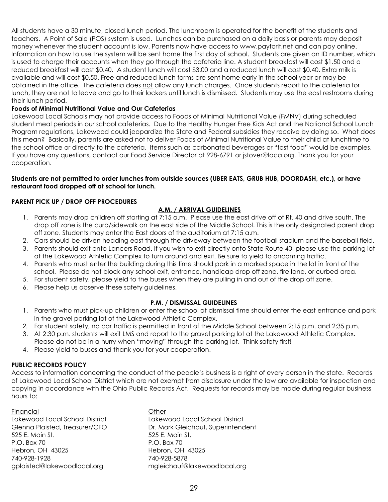All students have a 30 minute, closed lunch period. The lunchroom is operated for the benefit of the students and teachers. A Point of Sale (POS) system is used. Lunches can be purchased on a daily basis or parents may deposit money whenever the student account is low. Parents now have access to [www.payforit.net](http://www.payforit.net/) and can pay online. Information on how to use the system will be sent home the first day of school. Students are given an ID number, which is used to charge their accounts when they go through the cafeteria line. A student breakfast will cost \$1.50 and a reduced breakfast will cost \$0.40. A student lunch will cost \$3.00 and a reduced lunch will cost \$0.40. Extra milk is available and will cost \$0.50. Free and reduced lunch forms are sent home early in the school year or may be obtained in the office. The cafeteria does not allow any lunch charges. Once students report to the cafeteria for lunch, they are not to leave and go to their lockers until lunch is dismissed. Students may use the east restrooms during their lunch period.

#### **Foods of Minimal Nutritional Value and Our Cafeterias**

Lakewood Local Schools may not provide access to Foods of Minimal Nutritional Value (FMNV) during scheduled student meal periods in our school cafeterias. Due to the Healthy Hunger Free Kids Act and the National School Lunch Program regulations, Lakewood could jeopardize the State and Federal subsidies they receive by doing so. What does this mean? Basically, parents are asked not to deliver Foods of Minimal Nutritional Value to their child at lunchtime to the school office or directly to the cafeteria. Items such as carbonated beverages or "fast food" would be examples. If you have any questions, contact our Food Service Director at 928-6791 or [jstover@laca.org.](mailto:jstover@laca.org) Thank you for your cooperation.

#### **Students are not permitted to order lunches from outside sources (UBER EATS, GRUB HUB, DOORDASH, etc.), or have restaurant food dropped off at school for lunch.**

#### **PARENT PICK UP / DROP OFF PROCEDURES**

# **A.M. / ARRIVAL GUIDELINES**

- 1. Parents may drop children off starting at 7:15 a.m. Please use the east drive off of Rt. 40 and drive south. The drop off zone is the curb/sidewalk on the east side of the Middle School. This is the only designated parent drop off zone. Students may enter the East doors of the auditorium at 7:15 a.m.
- 2. Cars should be driven heading east through the driveway between the football stadium and the baseball field.
- 3. Parents should exit onto Lancers Road. If you wish to exit directly onto State Route 40, please use the parking lot at the Lakewood Athletic Complex to turn around and exit. Be sure to yield to oncoming traffic.
- 4. Parents who must enter the building during this time should park in a marked space in the lot in front of the school. Please do not block any school exit, entrance, handicap drop off zone, fire lane, or curbed area.
- 5. For student safety, please yield to the buses when they are pulling in and out of the drop off zone.
- 6. Please help us observe these safety guidelines.

#### **P.M. / DISMISSAL GUIDELINES**

- 1. Parents who must pick-up children or enter the school at dismissal time should enter the east entrance and park in the gravel parking lot of the Lakewood Athletic Complex.
- *2.* For student safety, no car traffic is permitted in front of the Middle School between 2:15 p.m. and 2:35 p.m*.*
- 3. At 2:30 p.m. students will exit LMS and report to the gravel parking lot at the Lakewood Athletic Complex. Please do not be in a hurry when "moving" through the parking lot. Think safety first!
- 4. Please yield to buses and thank you for your cooperation.

#### **PUBLIC RECORDS POLICY**

Access to information concerning the conduct of the people's business is a right of every person in the state. Records of Lakewood Local School District which are not exempt from disclosure under the law are available for inspection and copying in accordance with the Ohio Public Records Act. Requests for records may be made during regular business hours to:

Financial Other Lakewood Local School District Lakewood Local School District 525 E. Main St. 525 E. Main St. P.O. Box 70 P.O. Box 70 Hebron, OH 43025 Hebron, OH 43025 740-928-1928 740-928-5878

Glenna Plaisted, Treasurer/CFO Dr. Mark Gleichauf, Superintendent [gplaisted@lakewoodlocal.org](mailto:gplaisted@lakewoodlocal.org) [mgleichauf@lakewoodlocal.org](mailto:mgleichauf@lakewoodlocal.org)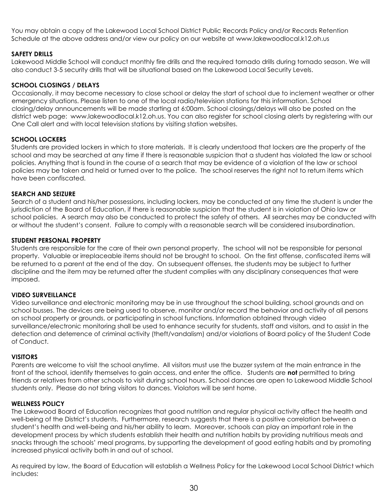You may obtain a copy of the Lakewood Local School District Public Records Policy and/or Records Retention Schedule at the above address and/or view our policy on our website at [www.lakewoodlocal.k12.oh.us](http://www.lakewoodlocal.k12.oh.us/)

#### **SAFETY DRILLS**

Lakewood Middle School will conduct monthly fire drills and the required tornado drills during tornado season. We will also conduct 3-5 security drills that will be situational based on the Lakewood Local Security Levels.

#### **SCHOOL CLOSINGS / DELAYS**

Occasionally, it may become necessary to close school or delay the start of school due to inclement weather or other emergency situations. Please listen to one of the local radio/television stations for this information. School closing/delay announcements will be made starting at 6:00am. School closings/delays will also be posted on the district web page: www.lakewoodlocal.k12.oh.us. You can also register for school closing alerts by registering with our One Call alert and with local television stations by visiting station websites.

#### **SCHOOL LOCKERS**

Students are provided lockers in which to store materials. It is clearly understood that lockers are the property of the school and may be searched at any time if there is reasonable suspicion that a student has violated the law or school policies. Anything that is found in the course of a search that may be evidence of a violation of the law or school policies may be taken and held or turned over to the police. The school reserves the right not to return items which have been confiscated.

#### **SEARCH AND SEIZURE**

Search of a student and his/her possessions, including lockers, may be conducted at any time the student is under the jurisdiction of the Board of Education, if there is reasonable suspicion that the student is in violation of Ohio law or school policies. A search may also be conducted to protect the safety of others. All searches may be conducted with or without the student's consent. Failure to comply with a reasonable search will be considered insubordination.

#### **STUDENT PERSONAL PROPERTY**

Students are responsible for the care of their own personal property. The school will not be responsible for personal property. Valuable or irreplaceable items should not be brought to school. On the first offense, confiscated items will be returned to a parent at the end of the day. On subsequent offenses, the students may be subject to further discipline and the item may be returned after the student complies with any disciplinary consequences that were imposed.

#### **VIDEO SURVEILLANCE**

Video surveillance and electronic monitoring may be in use throughout the school building, school grounds and on school busses. The devices are being used to observe, monitor and/or record the behavior and activity of all persons on school property or grounds, or participating in school functions. Information obtained through video surveillance/electronic monitoring shall be used to enhance security for students, staff and visitors, and to assist in the detection and deterrence of criminal activity (theft/vandalism) and/or violations of Board policy of the Student Code of Conduct.

#### **VISITORS**

Parents are welcome to visit the school anytime. All visitors must use the buzzer system at the main entrance in the front of the school, identify themselves to gain access, and enter the office. Students are **not** permitted to bring friends or relatives from other schools to visit during school hours. School dances are open to Lakewood Middle School students only. Please do not bring visitors to dances. Violators will be sent home.

#### **WELLNESS POLICY**

The Lakewood Board of Education recognizes that good nutrition and regular physical activity affect the health and well-being of the District's students. Furthermore, research suggests that there is a positive correlation between a student's health and well-being and his/her ability to learn. Moreover, schools can play an important role in the development process by which students establish their health and nutrition habits by providing nutritious meals and snacks through the schools' meal programs, by supporting the development of good eating habits and by promoting increased physical activity both in and out of school.

As required by law, the Board of Education will establish a Wellness Policy for the Lakewood Local School District which includes: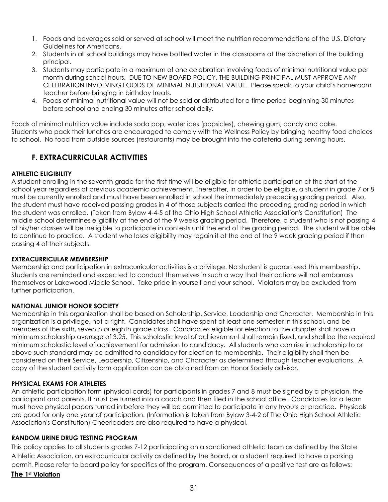- 1. Foods and beverages sold or served at school will meet the nutrition recommendations of the U.S. Dietary Guidelines for Americans.
- 2. Students in all school buildings may have bottled water in the classrooms at the discretion of the building principal.
- 3. Students may participate in a maximum of one celebration involving foods of minimal nutritional value per month during school hours. DUE TO NEW BOARD POLICY, THE BUILDING PRINCIPAL MUST APPROVE ANY CELEBRATION INVOLVING FOODS OF MINIMAL NUTRITIONAL VALUE. Please speak to your child's homeroom teacher before bringing in birthday treats.
- 4. Foods of minimal nutritional value will not be sold or distributed for a time period beginning 30 minutes before school and ending 30 minutes after school daily.

Foods of minimal nutrition value include soda pop, water ices (popsicles), chewing gum, candy and cake. Students who pack their lunches are encouraged to comply with the Wellness Policy by bringing healthy food choices to school. No food from outside sources (restaurants) may be brought into the cafeteria during serving hours.

# **F. EXTRACURRICULAR ACTIVITIES**

# **ATHLETIC ELIGIBILITY**

A student enrolling in the seventh grade for the first time will be eligible for athletic participation at the start of the school year regardless of previous academic achievement. Thereafter, in order to be eligible, a student in grade 7 or 8 must be currently enrolled and must have been enrolled in school the immediately preceding grading period. Also, the student must have received passing grades in 4 of those subjects carried the preceding grading period in which the student was enrolled. (Taken from Bylaw 4-4-5 of the Ohio High School Athletic Association's Constitution) The middle school determines eligibility at the end of the 9 weeks grading period. Therefore, a student who is not passing 4 of his/her classes will be ineligible to participate in contests until the end of the grading period. The student will be able to continue to practice. A student who loses eligibility may regain it at the end of the 9 week grading period if then passing 4 of their subjects.

# **EXTRACURRICULAR MEMBERSHIP**

Membership and participation in extracurricular activities is a privilege. No student is guaranteed this membership**.** Students are reminded and expected to conduct themselves in such a way that their actions will not embarrass themselves or Lakewood Middle School. Take pride in yourself and your school. Violators may be excluded from further participation.

# **NATIONAL JUNIOR HONOR SOCIETY**

Membership in this organization shall be based on Scholarship, Service, Leadership and Character. Membership in this organization is a privilege, not a right. Candidates shall have spent at least one semester in this school, and be members of the sixth, seventh or eighth grade class. Candidates eligible for election to the chapter shall have a minimum scholarship average of 3.25. This scholastic level of achievement shall remain fixed, and shall be the required minimum scholastic level of achievement for admission to candidacy. All students who can rise in scholarship to or above such standard may be admitted to candidacy for election to membership. Their eligibility shall then be considered on their Service, Leadership, Citizenship, and Character as determined through teacher evaluations. A copy of the student activity form application can be obtained from an Honor Society advisor.

# **PHYSICAL EXAMS FOR ATHLETES**

An athletic participation form (physical cards) for participants in grades 7 and 8 must be signed by a physician, the participant and parents. It must be turned into a coach and then filed in the school office. Candidates for a team must have physical papers turned in before they will be permitted to participate in any tryouts or practice. Physicals are good for only one year of participation. (Information is taken from Bylaw 3-4-2 of The Ohio High School Athletic Association's Constitution) Cheerleaders are also required to have a physical.

# **RANDOM URINE DRUG TESTING PROGRAM**

This policy applies to all students grades 7-12 participating on a sanctioned athletic team as defined by the State Athletic Association, an extracurricular activity as defined by the Board, or a student required to have a parking permit. Please refer to board policy for specifics of the program. Consequences of a positive test are as follows: **The 1st Violation**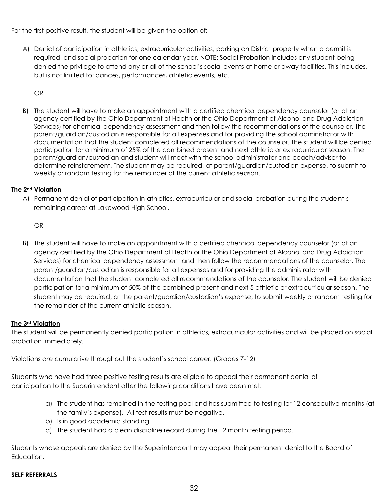For the first positive result, the student will be given the option of:

A) Denial of participation in athletics, extracurricular activities, parking on District property when a permit is required, and social probation for one calendar year. NOTE: Social Probation includes any student being denied the privilege to attend any or all of the school's social events at home or away facilities. This includes, but is not limited to: dances, performances, athletic events, etc.

OR

B) The student will have to make an appointment with a certified chemical dependency counselor (or at an agency certified by the Ohio Department of Health or the Ohio Department of Alcohol and Drug Addiction Services) for chemical dependency assessment and then follow the recommendations of the counselor. The parent/guardian/custodian is responsible for all expenses and for providing the school administrator with documentation that the student completed all recommendations of the counselor. The student will be denied participation for a minimum of 25% of the combined present and next athletic or extracurricular season. The parent/guardian/custodian and student will meet with the school administrator and coach/advisor to determine reinstatement. The student may be required, at parent/guardian/custodian expense, to submit to weekly or random testing for the remainder of the current athletic season.

# **The 2nd Violation**

A) Permanent denial of participation in athletics, extracurricular and social probation during the student's remaining career at Lakewood High School.

OR

B) The student will have to make an appointment with a certified chemical dependency counselor (or at an agency certified by the Ohio Department of Health or the Ohio Department of Alcohol and Drug Addiction Services) for chemical dependency assessment and then follow the recommendations of the counselor. The parent/guardian/custodian is responsible for all expenses and for providing the administrator with documentation that the student completed all recommendations of the counselor. The student will be denied participation for a minimum of 50% of the combined present and next 5 athletic or extracurricular season. The student may be required, at the parent/guardian/custodian's expense, to submit weekly or random testing for the remainder of the current athletic season.

# **The 3rd Violation**

The student will be permanently denied participation in athletics, extracurricular activities and will be placed on social probation immediately.

Violations are cumulative throughout the student's school career. (Grades 7-12)

Students who have had three positive testing results are eligible to appeal their permanent denial of participation to the Superintendent after the following conditions have been met:

- a) The student has remained in the testing pool and has submitted to testing for 12 consecutive months (at the family's expense). All test results must be negative.
- b) Is in good academic standing.
- c) The student had a clean discipline record during the 12 month testing period.

Students whose appeals are denied by the Superintendent may appeal their permanent denial to the Board of Education.

#### **SELF REFERRALS**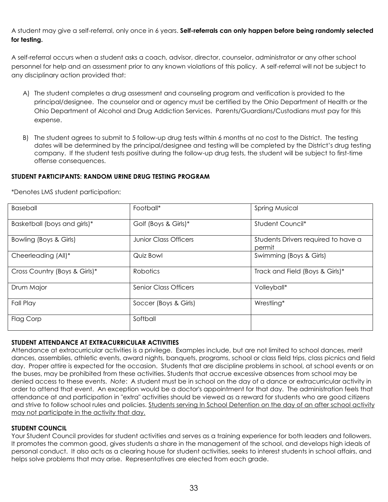A student may give a self-referral, only once in 6 years. **Self-referrals can only happen before being randomly selected for testing.**

A self-referral occurs when a student asks a coach, advisor, director, counselor, administrator or any other school personnel for help and an assessment prior to any known violations of this policy. A self-referral will not be subject to any disciplinary action provided that:

- A) The student completes a drug assessment and counseling program and verification is provided to the principal/designee. The counselor and or agency must be certified by the Ohio Department of Health or the Ohio Department of Alcohol and Drug Addiction Services. Parents/Guardians/Custodians must pay for this expense.
- B) The student agrees to submit to 5 follow-up drug tests within 6 months at no cost to the District. The testing dates will be determined by the principal/designee and testing will be completed by the District's drug testing company. If the student tests positive during the follow-up drug tests, the student will be subject to first-time offense consequences.

#### **STUDENT PARTICIPANTS: RANDOM URINE DRUG TESTING PROGRAM**

| <b>Baseball</b>               | Football*                    | <b>Spring Musical</b>                         |
|-------------------------------|------------------------------|-----------------------------------------------|
| Basketball (boys and girls)*  | Golf (Boys & Girls)*         | Student Council*                              |
| Bowling (Boys & Girls)        | <b>Junior Class Officers</b> | Students Drivers required to have a<br>permit |
| Cheerleading (All)*           | Quiz Bowl                    | Swimming (Boys & Girls)                       |
| Cross Country (Boys & Girls)* | Robotics                     | Track and Field (Boys & Girls)*               |
| Drum Major                    | <b>Senior Class Officers</b> | Volleyball*                                   |
| Fall Play                     | Soccer (Boys & Girls)        | Wrestling*                                    |
| Flag Corp                     | Softball                     |                                               |

\*Denotes LMS student participation:

#### **STUDENT ATTENDANCE AT EXTRACURRICULAR ACTIVITIES**

Attendance at extracurricular activities is a privilege. Examples include, but are not limited to school dances, merit dances, assemblies, athletic events, award nights, banquets, programs, school or class field trips, class picnics and field day. Proper attire is expected for the occasion. Students that are discipline problems in school, at school events or on the buses, may be prohibited from these activities. Students that accrue excessive absences from school may be denied access to these events. *Note*: A student must be in school on the day of a dance or extracurricular activity in order to attend that event. An exception would be a doctor's appointment for that day. The administration feels that attendance at and participation in "extra" activities should be viewed as a reward for students who are good citizens and strive to follow school rules and policies. Students serving In School Detention on the day of an after school activity may not participate in the activity that day.

# **STUDENT COUNCIL**

Your Student Council provides for student activities and serves as a training experience for both leaders and followers. It promotes the common good, gives students a share in the management of the school, and develops high ideals of personal conduct. It also acts as a clearing house for student activities, seeks to interest students in school affairs, and helps solve problems that may arise. Representatives are elected from each grade.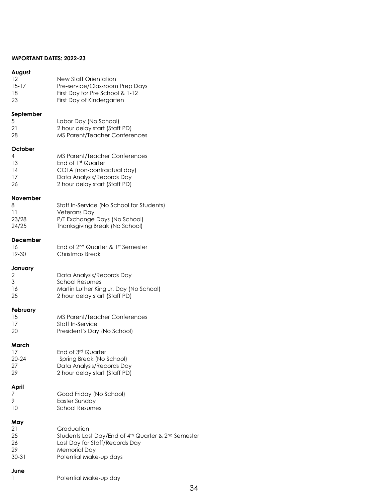#### **IMPORTANT DATES: 2022-23**

| August<br>12<br>$15 - 17$<br>18<br>23    | New Staff Orientation<br>Pre-service/Classroom Prep Days<br>First Day for Pre School & 1-12<br>First Day of Kindergarten                        |
|------------------------------------------|-------------------------------------------------------------------------------------------------------------------------------------------------|
| September<br>5<br>21<br>28               | Labor Day (No School)<br>2 hour delay start (Staff PD)<br><b>MS Parent/Teacher Conferences</b>                                                  |
| October<br>4<br>13<br>14<br>17<br>26     | MS Parent/Teacher Conferences<br>End of 1st Quarter<br>COTA (non-contractual day)<br>Data Analysis/Records Day<br>2 hour delay start (Staff PD) |
| November<br>8<br>11<br>23/28<br>24/25    | Staff In-Service (No School for Students)<br>Veterans Day<br>P/T Exchange Days (No School)<br>Thanksgiving Break (No School)                    |
| <b>December</b><br>16<br>19-30           | End of 2 <sup>nd</sup> Quarter & 1st Semester<br>Christmas Break                                                                                |
| January<br>2<br>3<br>16<br>25            | Data Analysis/Records Day<br><b>School Resumes</b><br>Martin Luther King Jr. Day (No School)<br>2 hour delay start (Staff PD)                   |
| February<br>15<br>17<br>20               | <b>MS Parent/Teacher Conferences</b><br><b>Staff In-Service</b><br>President's Day (No School)                                                  |
| March<br>17<br>$20 - 24$<br>27<br>29     | End of 3rd Quarter<br>Spring Break (No School)<br>Data Analysis/Records Day<br>2 hour delay start (Staff PD)                                    |
| April<br>7<br>9<br>10                    | Good Friday (No School)<br><b>Easter Sunday</b><br><b>School Resumes</b>                                                                        |
| May<br>21<br>25<br>26<br>29<br>$30 - 31$ | Graduation<br>Students Last Day/End of 4th Quarter & 2nd Semester<br>Last Day for Staff/Records Day<br>Memorial Day<br>Potential Make-up days   |
| June<br>1                                | Potential Make-up day                                                                                                                           |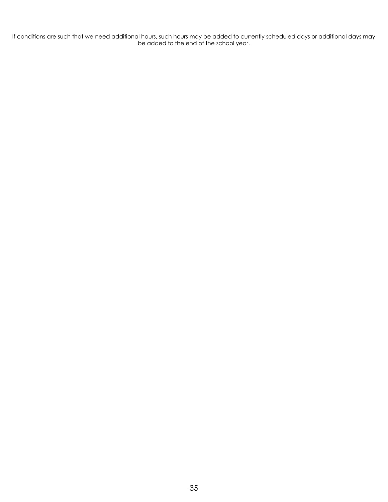If conditions are such that we need additional hours, such hours may be added to currently scheduled days or additional days may be added to the end of the school year.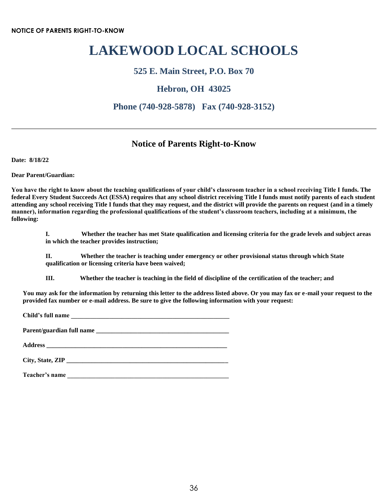# **LAKEWOOD LOCAL SCHOOLS**

**525 E. Main Street, P.O. Box 70**

# **Hebron, OH 43025**

# **Phone (740-928-5878) Fax (740-928-3152)**

# **Notice of Parents Right-to-Know**

**Date: 8/18/22**

**Dear Parent/Guardian:**

**You have the right to know about the teaching qualifications of your child's classroom teacher in a school receiving Title I funds. The federal Every Student Succeeds Act (ESSA) requires that any school district receiving Title I funds must notify parents of each student attending any school receiving Title I funds that they may request, and the district will provide the parents on request (and in a timely manner), information regarding the professional qualifications of the student's classroom teachers, including at a minimum, the following:**

**I. Whether the teacher has met State qualification and licensing criteria for the grade levels and subject areas in which the teacher provides instruction;**

**II. Whether the teacher is teaching under emergency or other provisional status through which State qualification or licensing criteria have been waived;**

**III. Whether the teacher is teaching in the field of discipline of the certification of the teacher; and**

**You may ask for the information by returning this letter to the address listed above. Or you may fax or e-mail your request to the provided fax number or e-mail address. Be sure to give the following information with your request:**

**Child's full name \_\_\_\_\_\_\_\_\_\_\_\_\_\_\_\_\_\_\_\_\_\_\_\_\_\_\_\_\_\_\_\_\_\_\_\_\_\_\_\_\_\_\_\_\_\_\_\_\_\_**

**Parent/guardian full name \_\_\_\_\_\_\_\_\_\_\_\_\_\_\_\_\_\_\_\_\_\_\_\_\_\_\_\_\_\_\_\_\_\_\_\_\_\_\_\_\_\_**

**Address \_\_\_\_\_\_\_\_\_\_\_\_\_\_\_\_\_\_\_\_\_\_\_\_\_\_\_\_\_\_\_\_\_\_\_\_\_\_\_\_\_\_\_\_\_\_\_\_\_\_\_\_\_\_\_\_\_**

**City, State, ZIP \_\_\_\_\_\_\_\_\_\_\_\_\_\_\_\_\_\_\_\_\_\_\_\_\_\_\_\_\_\_\_\_\_\_\_\_\_\_\_\_\_\_\_\_\_\_\_\_\_\_\_**

| Teacher's name |  |
|----------------|--|
|                |  |